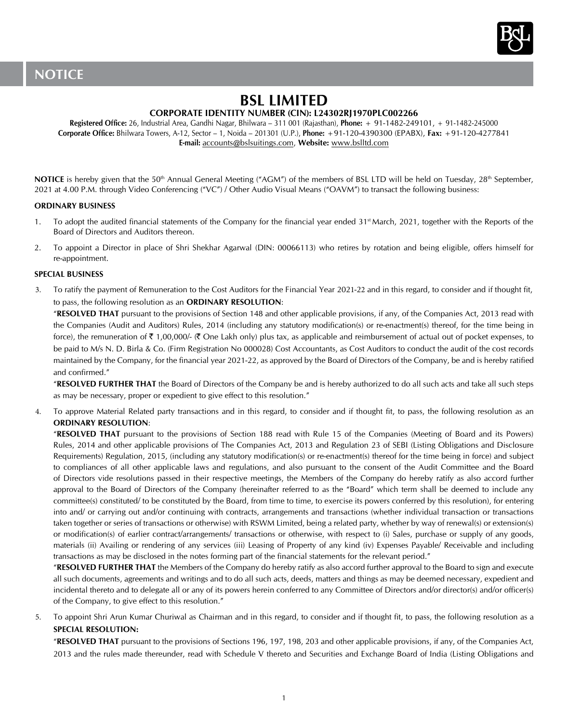

# **BSL LIMITED**

# **CORPORATE IDENTITY NUMBER (CIN): L24302RJ1970PLC002266**

**Registered Office:** 26, Industrial Area, Gandhi Nagar, Bhilwara – 311 001 (Rajasthan), **Phone:** + 91-1482-249101, + 91-1482-245000 **Corporate Office:** Bhilwara Towers, A-12, Sector – 1, Noida – 201301 (U.P.), **Phone:** +91-120-4390300 (EPABX), **Fax:** +91-120-4277841 **E-mail:** accounts@bslsuitings.com, **Website:** www.bslltd.com

NOTICE is hereby given that the 50<sup>th</sup> Annual General Meeting ("AGM") of the members of BSL LTD will be held on Tuesday, 28<sup>th</sup> September, 2021 at 4.00 P.M. through Video Conferencing ("VC") / Other Audio Visual Means ("OAVM") to transact the following business:

## **ORDINARY BUSINESS**

- 1. To adopt the audited financial statements of the Company for the financial year ended 31<sup>st</sup> March, 2021, together with the Reports of the Board of Directors and Auditors thereon.
- 2. To appoint a Director in place of Shri Shekhar Agarwal (DIN: 00066113) who retires by rotation and being eligible, offers himself for re-appointment.

## **SPECIAL BUSINESS**

3. To ratify the payment of Remuneration to the Cost Auditors for the Financial Year 2021-22 and in this regard, to consider and if thought fit, to pass, the following resolution as an **ORDINARY RESOLUTION**:

"**RESOLVED THAT** pursuant to the provisions of Section 148 and other applicable provisions, if any, of the Companies Act, 2013 read with the Companies (Audit and Auditors) Rules, 2014 (including any statutory modification(s) or re-enactment(s) thereof, for the time being in force), the remuneration of  $\bar{\tau}$  1,00,000/- ( $\bar{\tau}$  One Lakh only) plus tax, as applicable and reimbursement of actual out of pocket expenses, to be paid to M/s N. D. Birla & Co. (Firm Registration No 000028) Cost Accountants, as Cost Auditors to conduct the audit of the cost records maintained by the Company, for the financial year 2021-22, as approved by the Board of Directors of the Company, be and is hereby ratified and confirmed."

"**RESOLVED FURTHER THAT** the Board of Directors of the Company be and is hereby authorized to do all such acts and take all such steps as may be necessary, proper or expedient to give effect to this resolution."

4. To approve Material Related party transactions and in this regard, to consider and if thought fit, to pass, the following resolution as an **ORDINARY RESOLUTION**:

"**RESOLVED THAT** pursuant to the provisions of Section 188 read with Rule 15 of the Companies (Meeting of Board and its Powers) Rules, 2014 and other applicable provisions of The Companies Act, 2013 and Regulation 23 of SEBI (Listing Obligations and Disclosure Requirements) Regulation, 2015, (including any statutory modification(s) or re-enactment(s) thereof for the time being in force) and subject to compliances of all other applicable laws and regulations, and also pursuant to the consent of the Audit Committee and the Board of Directors vide resolutions passed in their respective meetings, the Members of the Company do hereby ratify as also accord further approval to the Board of Directors of the Company (hereinafter referred to as the "Board" which term shall be deemed to include any committee(s) constituted/ to be constituted by the Board, from time to time, to exercise its powers conferred by this resolution), for entering into and/ or carrying out and/or continuing with contracts, arrangements and transactions (whether individual transaction or transactions taken together or series of transactions or otherwise) with RSWM Limited, being a related party, whether by way of renewal(s) or extension(s) or modification(s) of earlier contract/arrangements/ transactions or otherwise, with respect to (i) Sales, purchase or supply of any goods, materials (ii) Availing or rendering of any services (iii) Leasing of Property of any kind (iv) Expenses Payable/ Receivable and including transactions as may be disclosed in the notes forming part of the financial statements for the relevant period."

"**RESOLVED FURTHER THAT** the Members of the Company do hereby ratify as also accord further approval to the Board to sign and execute all such documents, agreements and writings and to do all such acts, deeds, matters and things as may be deemed necessary, expedient and incidental thereto and to delegate all or any of its powers herein conferred to any Committee of Directors and/or director(s) and/or officer(s) of the Company, to give effect to this resolution."

5. To appoint Shri Arun Kumar Churiwal as Chairman and in this regard, to consider and if thought fit, to pass, the following resolution as a **SPECIAL RESOLUTION:**

"**RESOLVED THAT** pursuant to the provisions of Sections 196, 197, 198, 203 and other applicable provisions, if any, of the Companies Act, 2013 and the rules made thereunder, read with Schedule V thereto and Securities and Exchange Board of India (Listing Obligations and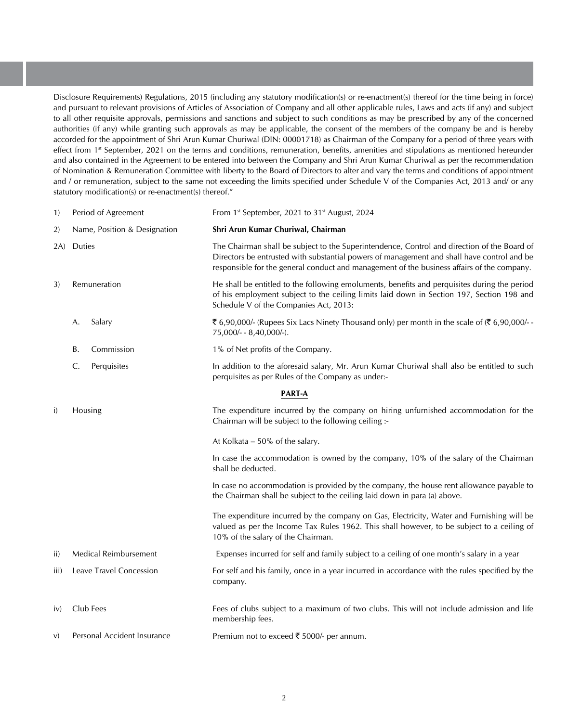Disclosure Requirements) Regulations, 2015 (including any statutory modification(s) or re-enactment(s) thereof for the time being in force) and pursuant to relevant provisions of Articles of Association of Company and all other applicable rules, Laws and acts (if any) and subject to all other requisite approvals, permissions and sanctions and subject to such conditions as may be prescribed by any of the concerned authorities (if any) while granting such approvals as may be applicable, the consent of the members of the company be and is hereby accorded for the appointment of Shri Arun Kumar Churiwal (DIN: 00001718) as Chairman of the Company for a period of three years with effect from 1<sup>st</sup> September, 2021 on the terms and conditions, remuneration, benefits, amenities and stipulations as mentioned hereunder and also contained in the Agreement to be entered into between the Company and Shri Arun Kumar Churiwal as per the recommendation of Nomination & Remuneration Committee with liberty to the Board of Directors to alter and vary the terms and conditions of appointment and / or remuneration, subject to the same not exceeding the limits specified under Schedule V of the Companies Act, 2013 and/ or any statutory modification(s) or re-enactment(s) thereof."

| Period of Agreement<br>1) |                              |                              | From 1 <sup>st</sup> September, 2021 to 31 <sup>st</sup> August, 2024                                                                                                                                                                                                                   |  |  |
|---------------------------|------------------------------|------------------------------|-----------------------------------------------------------------------------------------------------------------------------------------------------------------------------------------------------------------------------------------------------------------------------------------|--|--|
| 2)                        | Name, Position & Designation |                              | Shri Arun Kumar Churiwal, Chairman                                                                                                                                                                                                                                                      |  |  |
| Duties<br>2A)             |                              |                              | The Chairman shall be subject to the Superintendence, Control and direction of the Board of<br>Directors be entrusted with substantial powers of management and shall have control and be<br>responsible for the general conduct and management of the business affairs of the company. |  |  |
| 3)                        | Remuneration                 |                              | He shall be entitled to the following emoluments, benefits and perquisites during the period<br>of his employment subject to the ceiling limits laid down in Section 197, Section 198 and<br>Schedule V of the Companies Act, 2013:                                                     |  |  |
|                           | А.                           | Salary                       | ₹ 6,90,000/- (Rupees Six Lacs Ninety Thousand only) per month in the scale of $(3, 6, 90, 000/2)$<br>75,000/- - 8,40,000/-).                                                                                                                                                            |  |  |
|                           | В.                           | Commission                   | 1% of Net profits of the Company.                                                                                                                                                                                                                                                       |  |  |
|                           | C.                           | Perquisites                  | In addition to the aforesaid salary, Mr. Arun Kumar Churiwal shall also be entitled to such<br>perquisites as per Rules of the Company as under:-                                                                                                                                       |  |  |
|                           |                              |                              | <b>PART-A</b>                                                                                                                                                                                                                                                                           |  |  |
| i)                        | Housing                      |                              | The expenditure incurred by the company on hiring unfurnished accommodation for the<br>Chairman will be subject to the following ceiling :-                                                                                                                                             |  |  |
|                           |                              |                              | At Kolkata - 50% of the salary.                                                                                                                                                                                                                                                         |  |  |
|                           |                              |                              | In case the accommodation is owned by the company, 10% of the salary of the Chairman<br>shall be deducted.                                                                                                                                                                              |  |  |
|                           |                              |                              | In case no accommodation is provided by the company, the house rent allowance payable to<br>the Chairman shall be subject to the ceiling laid down in para (a) above.                                                                                                                   |  |  |
|                           |                              |                              | The expenditure incurred by the company on Gas, Electricity, Water and Furnishing will be<br>valued as per the Income Tax Rules 1962. This shall however, to be subject to a ceiling of<br>10% of the salary of the Chairman.                                                           |  |  |
| ii)                       |                              | <b>Medical Reimbursement</b> | Expenses incurred for self and family subject to a ceiling of one month's salary in a year                                                                                                                                                                                              |  |  |
| iii)                      |                              | Leave Travel Concession      | For self and his family, once in a year incurred in accordance with the rules specified by the<br>company.                                                                                                                                                                              |  |  |
| iv)                       |                              | Club Fees                    | Fees of clubs subject to a maximum of two clubs. This will not include admission and life<br>membership fees.                                                                                                                                                                           |  |  |
| V)                        |                              | Personal Accident Insurance  | Premium not to exceed ₹ 5000/- per annum.                                                                                                                                                                                                                                               |  |  |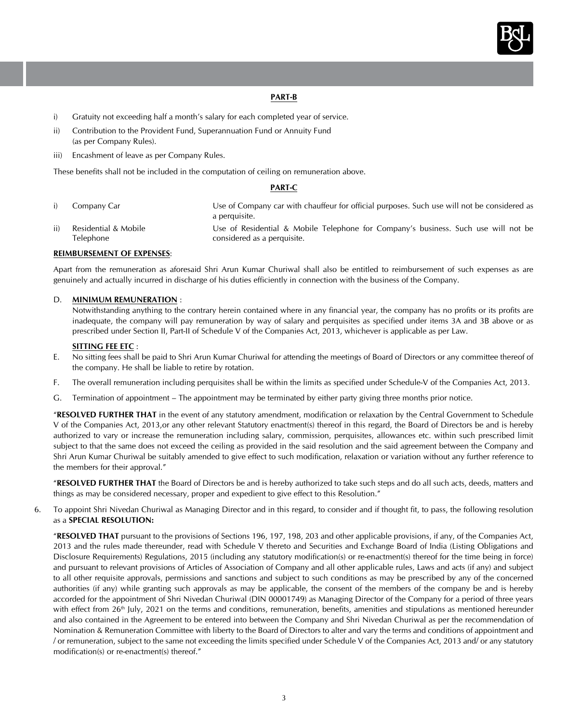

## **PART-B**

- i) Gratuity not exceeding half a month's salary for each completed year of service.
- ii) Contribution to the Provident Fund, Superannuation Fund or Annuity Fund (as per Company Rules).
- iii) Encashment of leave as per Company Rules.

 These benefits shall not be included in the computation of ceiling on remuneration above.

#### **PART-C**

i) Company Car The Use of Company car with chauffeur for official purposes. Such use will not be considered as a perquisite. ii) Residential & Mobile Telephone Use of Residential & Mobile Telephone for Company's business. Such use will not be considered as a perquisite.

#### **REIMBURSEMENT OF EXPENSES**:

Apart from the remuneration as aforesaid Shri Arun Kumar Churiwal shall also be entitled to reimbursement of such expenses as are genuinely and actually incurred in discharge of his duties efficiently in connection with the business of the Company.

#### D. **MINIMUM REMUNERATION** :

Notwithstanding anything to the contrary herein contained where in any financial year, the company has no profits or its profits are inadequate, the company will pay remuneration by way of salary and perquisites as specified under items 3A and 3B above or as prescribed under Section II, Part-II of Schedule V of the Companies Act, 2013, whichever is applicable as per Law.

## **SITTING FEE ETC** :

- E. No sitting fees shall be paid to Shri Arun Kumar Churiwal for attending the meetings of Board of Directors or any committee thereof of the company. He shall be liable to retire by rotation.
- F. The overall remuneration including perquisites shall be within the limits as specified under Schedule-V of the Companies Act, 2013.
- G. Termination of appointment The appointment may be terminated by either party giving three months prior notice.

"**RESOLVED FURTHER THAT** in the event of any statutory amendment, modification or relaxation by the Central Government to Schedule V of the Companies Act, 2013,or any other relevant Statutory enactment(s) thereof in this regard, the Board of Directors be and is hereby authorized to vary or increase the remuneration including salary, commission, perquisites, allowances etc. within such prescribed limit subject to that the same does not exceed the ceiling as provided in the said resolution and the said agreement between the Company and Shri Arun Kumar Churiwal be suitably amended to give effect to such modification, relaxation or variation without any further reference to the members for their approval."

"**RESOLVED FURTHER THAT** the Board of Directors be and is hereby authorized to take such steps and do all such acts, deeds, matters and things as may be considered necessary, proper and expedient to give effect to this Resolution."

6. To appoint Shri Nivedan Churiwal as Managing Director and in this regard, to consider and if thought fit, to pass, the following resolution as a **SPECIAL RESOLUTION:** 

"**RESOLVED THAT** pursuant to the provisions of Sections 196, 197, 198, 203 and other applicable provisions, if any, of the Companies Act, 2013 and the rules made thereunder, read with Schedule V thereto and Securities and Exchange Board of India (Listing Obligations and Disclosure Requirements) Regulations, 2015 (including any statutory modification(s) or re-enactment(s) thereof for the time being in force) and pursuant to relevant provisions of Articles of Association of Company and all other applicable rules, Laws and acts (if any) and subject to all other requisite approvals, permissions and sanctions and subject to such conditions as may be prescribed by any of the concerned authorities (if any) while granting such approvals as may be applicable, the consent of the members of the company be and is hereby accorded for the appointment of Shri Nivedan Churiwal (DIN 00001749) as Managing Director of the Company for a period of three years with effect from 26<sup>th</sup> July, 2021 on the terms and conditions, remuneration, benefits, amenities and stipulations as mentioned hereunder and also contained in the Agreement to be entered into between the Company and Shri Nivedan Churiwal as per the recommendation of Nomination & Remuneration Committee with liberty to the Board of Directors to alter and vary the terms and conditions of appointment and / or remuneration, subject to the same not exceeding the limits specified under Schedule V of the Companies Act, 2013 and/ or any statutory modification(s) or re-enactment(s) thereof."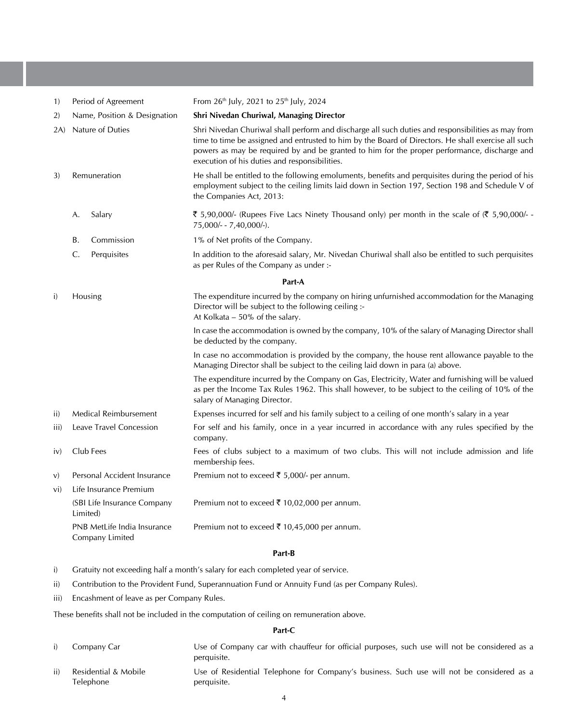| 1)   | Period of Agreement                            |                              | From 26 <sup>th</sup> July, 2021 to 25 <sup>th</sup> July, 2024                                                                                                                                                                                                                                                                                            |  |  |
|------|------------------------------------------------|------------------------------|------------------------------------------------------------------------------------------------------------------------------------------------------------------------------------------------------------------------------------------------------------------------------------------------------------------------------------------------------------|--|--|
| 2)   | Name, Position & Designation                   |                              | Shri Nivedan Churiwal, Managing Director                                                                                                                                                                                                                                                                                                                   |  |  |
| 2A)  | Nature of Duties                               |                              | Shri Nivedan Churiwal shall perform and discharge all such duties and responsibilities as may from<br>time to time be assigned and entrusted to him by the Board of Directors. He shall exercise all such<br>powers as may be required by and be granted to him for the proper performance, discharge and<br>execution of his duties and responsibilities. |  |  |
| 3)   | Remuneration                                   |                              | He shall be entitled to the following emoluments, benefits and perquisites during the period of his<br>employment subject to the ceiling limits laid down in Section 197, Section 198 and Schedule V of<br>the Companies Act, 2013:                                                                                                                        |  |  |
|      | А.                                             | Salary                       | ₹ 5,90,000/- (Rupees Five Lacs Ninety Thousand only) per month in the scale of $(3, 5, 90, 000/2)$<br>75,000/- - 7,40,000/-).                                                                                                                                                                                                                              |  |  |
|      | В.                                             | Commission                   | 1% of Net profits of the Company.                                                                                                                                                                                                                                                                                                                          |  |  |
|      | $\mathsf{C}$                                   | Perquisites                  | In addition to the aforesaid salary, Mr. Nivedan Churiwal shall also be entitled to such perquisites<br>as per Rules of the Company as under :-                                                                                                                                                                                                            |  |  |
|      |                                                |                              | Part-A                                                                                                                                                                                                                                                                                                                                                     |  |  |
| i)   | Housing                                        |                              | The expenditure incurred by the company on hiring unfurnished accommodation for the Managing<br>Director will be subject to the following ceiling :-<br>At Kolkata - 50% of the salary.                                                                                                                                                                    |  |  |
|      |                                                |                              | In case the accommodation is owned by the company, 10% of the salary of Managing Director shall<br>be deducted by the company.                                                                                                                                                                                                                             |  |  |
|      |                                                |                              | In case no accommodation is provided by the company, the house rent allowance payable to the<br>Managing Director shall be subject to the ceiling laid down in para (a) above.                                                                                                                                                                             |  |  |
|      |                                                |                              | The expenditure incurred by the Company on Gas, Electricity, Water and furnishing will be valued<br>as per the Income Tax Rules 1962. This shall however, to be subject to the ceiling of 10% of the<br>salary of Managing Director.                                                                                                                       |  |  |
| ii)  |                                                | <b>Medical Reimbursement</b> | Expenses incurred for self and his family subject to a ceiling of one month's salary in a year                                                                                                                                                                                                                                                             |  |  |
| iii) |                                                | Leave Travel Concession      | For self and his family, once in a year incurred in accordance with any rules specified by the<br>company.                                                                                                                                                                                                                                                 |  |  |
| iv)  |                                                | Club Fees                    | Fees of clubs subject to a maximum of two clubs. This will not include admission and life<br>membership fees.                                                                                                                                                                                                                                              |  |  |
| V)   |                                                | Personal Accident Insurance  | Premium not to exceed ₹ 5,000/- per annum.                                                                                                                                                                                                                                                                                                                 |  |  |
| vi)  |                                                | Life Insurance Premium       |                                                                                                                                                                                                                                                                                                                                                            |  |  |
|      | (SBI Life Insurance Company<br>Limited)        |                              | Premium not to exceed ₹ 10,02,000 per annum.                                                                                                                                                                                                                                                                                                               |  |  |
|      | PNB MetLife India Insurance<br>Company Limited |                              | Premium not to exceed ₹ 10,45,000 per annum.                                                                                                                                                                                                                                                                                                               |  |  |

#### **Part-B**

- i) Gratuity not exceeding half a month's salary for each completed year of service.
- ii) Contribution to the Provident Fund, Superannuation Fund or Annuity Fund (as per Company Rules).
- iii) Encashment of leave as per Company Rules.

 These benefits shall not be included in the computation of ceiling on remuneration above.

# **Part-C**

- i) Company Car Use of Company car with chauffeur for official purposes, such use will not be considered as a perquisite.
- ii) Residential & Mobile Telephone Use of Residential Telephone for Company's business. Such use will not be considered as a perquisite.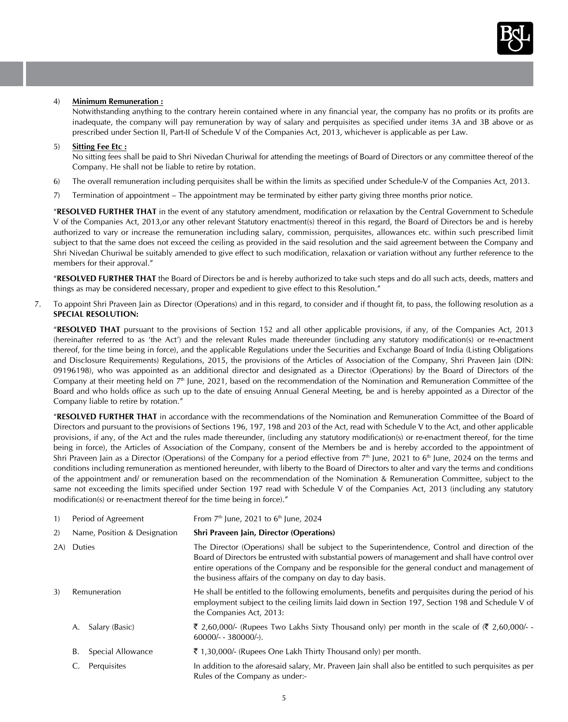

#### 4) **Minimum Remuneration :**

Notwithstanding anything to the contrary herein contained where in any financial year, the company has no profits or its profits are inadequate, the company will pay remuneration by way of salary and perquisites as specified under items 3A and 3B above or as prescribed under Section II, Part-II of Schedule V of the Companies Act, 2013, whichever is applicable as per Law.

#### 5) **Sitting Fee Etc :**

No sitting fees shall be paid to Shri Nivedan Churiwal for attending the meetings of Board of Directors or any committee thereof of the Company. He shall not be liable to retire by rotation.

- 6) The overall remuneration including perquisites shall be within the limits as specified under Schedule-V of the Companies Act, 2013.
- 7) Termination of appointment The appointment may be terminated by either party giving three months prior notice.

"**RESOLVED FURTHER THAT** in the event of any statutory amendment, modification or relaxation by the Central Government to Schedule V of the Companies Act, 2013,or any other relevant Statutory enactment(s) thereof in this regard, the Board of Directors be and is hereby authorized to vary or increase the remuneration including salary, commission, perquisites, allowances etc. within such prescribed limit subject to that the same does not exceed the ceiling as provided in the said resolution and the said agreement between the Company and Shri Nivedan Churiwal be suitably amended to give effect to such modification, relaxation or variation without any further reference to the members for their approval."

"**RESOLVED FURTHER THAT** the Board of Directors be and is hereby authorized to take such steps and do all such acts, deeds, matters and things as may be considered necessary, proper and expedient to give effect to this Resolution."

7. To appoint Shri Praveen Jain as Director (Operations) and in this regard, to consider and if thought fit, to pass, the following resolution as a **SPECIAL RESOLUTION:** 

"**RESOLVED THAT** pursuant to the provisions of Section 152 and all other applicable provisions, if any, of the Companies Act, 2013 (hereinafter referred to as 'the Act') and the relevant Rules made thereunder (including any statutory modification(s) or re-enactment thereof, for the time being in force), and the applicable Regulations under the Securities and Exchange Board of India (Listing Obligations and Disclosure Requirements) Regulations, 2015, the provisions of the Articles of Association of the Company, Shri Praveen Jain (DIN: 09196198), who was appointed as an additional director and designated as a Director (Operations) by the Board of Directors of the Company at their meeting held on  $7<sup>th</sup>$  June, 2021, based on the recommendation of the Nomination and Remuneration Committee of the Board and who holds office as such up to the date of ensuing Annual General Meeting, be and is hereby appointed as a Director of the Company liable to retire by rotation."

"**RESOLVED FURTHER THAT** in accordance with the recommendations of the Nomination and Remuneration Committee of the Board of Directors and pursuant to the provisions of Sections 196, 197, 198 and 203 of the Act, read with Schedule V to the Act, and other applicable provisions, if any, of the Act and the rules made thereunder, (including any statutory modification(s) or re-enactment thereof, for the time being in force), the Articles of Association of the Company, consent of the Members be and is hereby accorded to the appointment of Shri Praveen Jain as a Director (Operations) of the Company for a period effective from  $7<sup>th</sup>$  June, 2021 to 6<sup>th</sup> June, 2024 on the terms and conditions including remuneration as mentioned hereunder, with liberty to the Board of Directors to alter and vary the terms and conditions of the appointment and/ or remuneration based on the recommendation of the Nomination & Remuneration Committee, subject to the same not exceeding the limits specified under Section 197 read with Schedule V of the Companies Act, 2013 (including any statutory modification(s) or re-enactment thereof for the time being in force)."

| 1)  | Period of Agreement          | From $7th$ June, 2021 to $6th$ June, 2024                                                                                                                                                                                                                                                                                                                         |
|-----|------------------------------|-------------------------------------------------------------------------------------------------------------------------------------------------------------------------------------------------------------------------------------------------------------------------------------------------------------------------------------------------------------------|
| 2)  | Name, Position & Designation | Shri Praveen Jain, Director (Operations)                                                                                                                                                                                                                                                                                                                          |
| 2A) | Duties                       | The Director (Operations) shall be subject to the Superintendence, Control and direction of the<br>Board of Directors be entrusted with substantial powers of management and shall have control over<br>entire operations of the Company and be responsible for the general conduct and management of<br>the business affairs of the company on day to day basis. |
| 3)  | Remuneration                 | He shall be entitled to the following emoluments, benefits and perquisites during the period of his<br>employment subject to the ceiling limits laid down in Section 197, Section 198 and Schedule V of<br>the Companies Act, 2013:                                                                                                                               |
|     | Salary (Basic)<br>A.         | ₹ 2,60,000/- (Rupees Two Lakhs Sixty Thousand only) per month in the scale of $(2,60,000/-$<br>$60000/- - 380000/-$ ).                                                                                                                                                                                                                                            |
|     | Special Allowance<br>В.      | $\bar{\xi}$ 1,30,000/- (Rupees One Lakh Thirty Thousand only) per month.                                                                                                                                                                                                                                                                                          |
|     | Perquisites                  | In addition to the aforesaid salary, Mr. Praveen Jain shall also be entitled to such perquisites as per<br>Rules of the Company as under:-                                                                                                                                                                                                                        |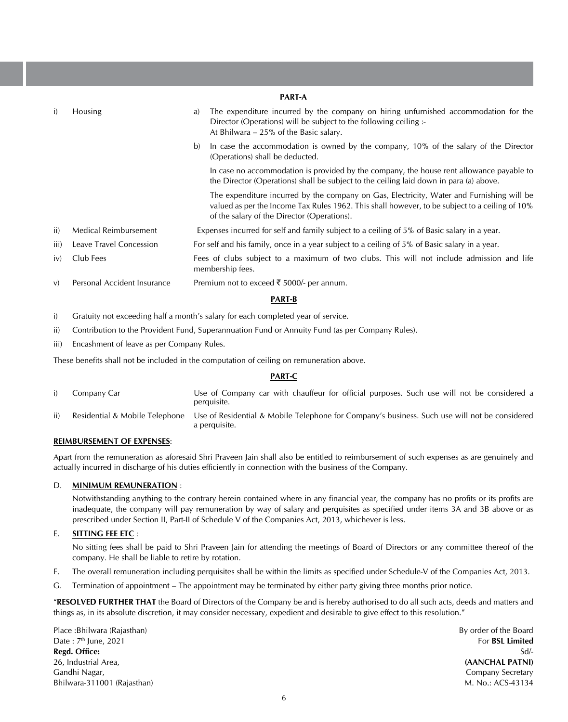|      | <b>PART-A</b>                |                                                                                                                                                                                                                                            |  |  |  |
|------|------------------------------|--------------------------------------------------------------------------------------------------------------------------------------------------------------------------------------------------------------------------------------------|--|--|--|
| i)   | <b>Housing</b>               | The expenditure incurred by the company on hiring unfurnished accommodation for the<br>a)<br>Director (Operations) will be subject to the following ceiling :-<br>At Bhilwara – 25% of the Basic salary.                                   |  |  |  |
|      |                              | b)<br>In case the accommodation is owned by the company, 10% of the salary of the Director<br>(Operations) shall be deducted.                                                                                                              |  |  |  |
|      |                              | In case no accommodation is provided by the company, the house rent allowance payable to<br>the Director (Operations) shall be subject to the ceiling laid down in para (a) above.                                                         |  |  |  |
|      |                              | The expenditure incurred by the company on Gas, Electricity, Water and Furnishing will be<br>valued as per the Income Tax Rules 1962. This shall however, to be subject to a ceiling of 10%<br>of the salary of the Director (Operations). |  |  |  |
| ii)  | <b>Medical Reimbursement</b> | Expenses incurred for self and family subject to a ceiling of 5% of Basic salary in a year.                                                                                                                                                |  |  |  |
| iii) | Leave Travel Concession      | For self and his family, once in a year subject to a ceiling of 5% of Basic salary in a year.                                                                                                                                              |  |  |  |
| iv)  | Club Fees                    | Fees of clubs subject to a maximum of two clubs. This will not include admission and life<br>membership fees.                                                                                                                              |  |  |  |
| V)   | Personal Accident Insurance  | Premium not to exceed ₹ 5000/- per annum.                                                                                                                                                                                                  |  |  |  |

# **PART-B**

i) Gratuity not exceeding half a month's salary for each completed year of service.

- ii) Contribution to the Provident Fund, Superannuation Fund or Annuity Fund (as per Company Rules).
- iii) Encashment of leave as per Company Rules.

 These benefits shall not be included in the computation of ceiling on remuneration above.

## **PART-C**

|     | Company Car | Use of Company car with chauffeur for official purposes. Such use will not be considered a<br>perquisite.                                     |
|-----|-------------|-----------------------------------------------------------------------------------------------------------------------------------------------|
| ii) |             | Residential & Mobile Telephone Use of Residential & Mobile Telephone for Company's business. Such use will not be considered<br>a perquisite. |

## **REIMBURSEMENT OF EXPENSES**:

Apart from the remuneration as aforesaid Shri Praveen Jain shall also be entitled to reimbursement of such expenses as are genuinely and actually incurred in discharge of his duties efficiently in connection with the business of the Company.

## D. **MINIMUM REMUNERATION** :

Notwithstanding anything to the contrary herein contained where in any financial year, the company has no profits or its profits are inadequate, the company will pay remuneration by way of salary and perquisites as specified under items 3A and 3B above or as prescribed under Section II, Part-II of Schedule V of the Companies Act, 2013, whichever is less.

#### E. **SITTING FEE ETC** :

No sitting fees shall be paid to Shri Praveen Jain for attending the meetings of Board of Directors or any committee thereof of the company. He shall be liable to retire by rotation.

- F. The overall remuneration including perquisites shall be within the limits as specified under Schedule-V of the Companies Act, 2013.
- G. Termination of appointment The appointment may be terminated by either party giving three months prior notice.

"**RESOLVED FURTHER THAT** the Board of Directors of the Company be and is hereby authorised to do all such acts, deeds and matters and things as, in its absolute discretion, it may consider necessary, expedient and desirable to give effect to this resolution."

Place :Bhilwara (Rajasthan) Date: 7<sup>th</sup> June, 2021 **Regd. Office:** 26, Industrial Area, Gandhi Nagar, Bhilwara-311001 (Rajasthan) By order of the Board For **BSL Limited** Sd/- **(AANCHAL PATNI)** Company Secretary M. No.: ACS-43134

6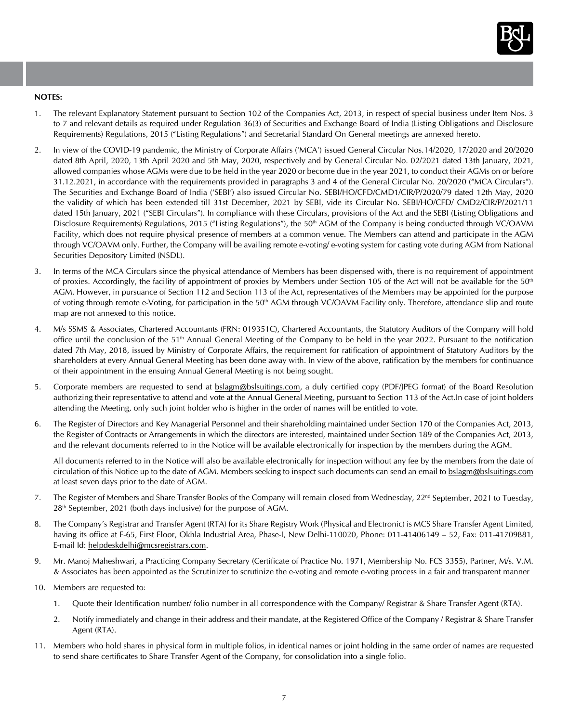

## **NOTES:**

- 1. The relevant Explanatory Statement pursuant to Section 102 of the Companies Act, 2013, in respect of special business under Item Nos. 3 to 7 and relevant details as required under Regulation 36(3) of Securities and Exchange Board of India (Listing Obligations and Disclosure Requirements) Regulations, 2015 ("Listing Regulations") and Secretarial Standard On General meetings are annexed hereto.
- 2. In view of the COVID-19 pandemic, the Ministry of Corporate Affairs ('MCA') issued General Circular Nos.14/2020, 17/2020 and 20/2020 dated 8th April, 2020, 13th April 2020 and 5th May, 2020, respectively and by General Circular No. 02/2021 dated 13th January, 2021, allowed companies whose AGMs were due to be held in the year 2020 or become due in the year 2021, to conduct their AGMs on or before 31.12.2021, in accordance with the requirements provided in paragraphs 3 and 4 of the General Circular No. 20/2020 ("MCA Circulars"). The Securities and Exchange Board of India ('SEBI') also issued Circular No. SEBI/HO/CFD/CMD1/CIR/P/2020/79 dated 12th May, 2020 the validity of which has been extended till 31st December, 2021 by SEBI, vide its Circular No. SEBI/HO/CFD/ CMD2/CIR/P/2021/11 dated 15th January, 2021 ("SEBI Circulars"). In compliance with these Circulars, provisions of the Act and the SEBI (Listing Obligations and Disclosure Requirements) Regulations, 2015 ("Listing Regulations"), the 50<sup>th</sup> AGM of the Company is being conducted through VC/OAVM Facility, which does not require physical presence of members at a common venue. The Members can attend and participate in the AGM through VC/OAVM only. Further, the Company will be availing remote e-voting/ e-voting system for casting vote during AGM from National Securities Depository Limited (NSDL).
- 3. In terms of the MCA Circulars since the physical attendance of Members has been dispensed with, there is no requirement of appointment of proxies. Accordingly, the facility of appointment of proxies by Members under Section 105 of the Act will not be available for the 50<sup>th</sup> AGM. However, in pursuance of Section 112 and Section 113 of the Act, representatives of the Members may be appointed for the purpose of voting through remote e-Voting, for participation in the 50<sup>th</sup> AGM through VC/OAVM Facility only. Therefore, attendance slip and route map are not annexed to this notice.
- 4. M/s SSMS & Associates, Chartered Accountants (FRN: 019351C), Chartered Accountants, the Statutory Auditors of the Company will hold office until the conclusion of the 51th Annual General Meeting of the Company to be held in the year 2022. Pursuant to the notification dated 7th May, 2018, issued by Ministry of Corporate Affairs, the requirement for ratification of appointment of Statutory Auditors by the shareholders at every Annual General Meeting has been done away with. In view of the above, ratification by the members for continuance of their appointment in the ensuing Annual General Meeting is not being sought.
- 5. Corporate members are requested to send at bslagm@bslsuitings.com, a duly certified copy (PDF/JPEG format) of the Board Resolution authorizing their representative to attend and vote at the Annual General Meeting, pursuant to Section 113 of the Act.In case of joint holders attending the Meeting, only such joint holder who is higher in the order of names will be entitled to vote.
- 6. The Register of Directors and Key Managerial Personnel and their shareholding maintained under Section 170 of the Companies Act, 2013, the Register of Contracts or Arrangements in which the directors are interested, maintained under Section 189 of the Companies Act, 2013, and the relevant documents referred to in the Notice will be available electronically for inspection by the members during the AGM.

All documents referred to in the Notice will also be available electronically for inspection without any fee by the members from the date of circulation of this Notice up to the date of AGM. Members seeking to inspect such documents can send an email to bslagm@bslsuitings.com at least seven days prior to the date of AGM.

- 7. The Register of Members and Share Transfer Books of the Company will remain closed from Wednesday, 22nd September, 2021 to Tuesday, 28<sup>th</sup> September, 2021 (both days inclusive) for the purpose of AGM.
- 8. The Company's Registrar and Transfer Agent (RTA) for its Share Registry Work (Physical and Electronic) is MCS Share Transfer Agent Limited, having its office at F-65, First Floor, Okhla Industrial Area, Phase-I, New Delhi-110020, Phone: 011-41406149 – 52, Fax: 011-41709881, E-mail Id: helpdeskdelhi@mcsregistrars.com.
- 9. Mr. Manoj Maheshwari, a Practicing Company Secretary (Certificate of Practice No. 1971, Membership No. FCS 3355), Partner, M/s. V.M. & Associates has been appointed as the Scrutinizer to scrutinize the e-voting and remote e-voting process in a fair and transparent manner
- 10. Members are requested to:
	- 1. Ouote their Identification number/ folio number in all correspondence with the Company/ Registrar & Share Transfer Agent (RTA).
	- 2. Notify immediately and change in their address and their mandate, at the Registered Office of the Company / Registrar & Share Transfer Agent (RTA).
- 11. Members who hold shares in physical form in multiple folios, in identical names or joint holding in the same order of names are requested to send share certificates to Share Transfer Agent of the Company, for consolidation into a single folio.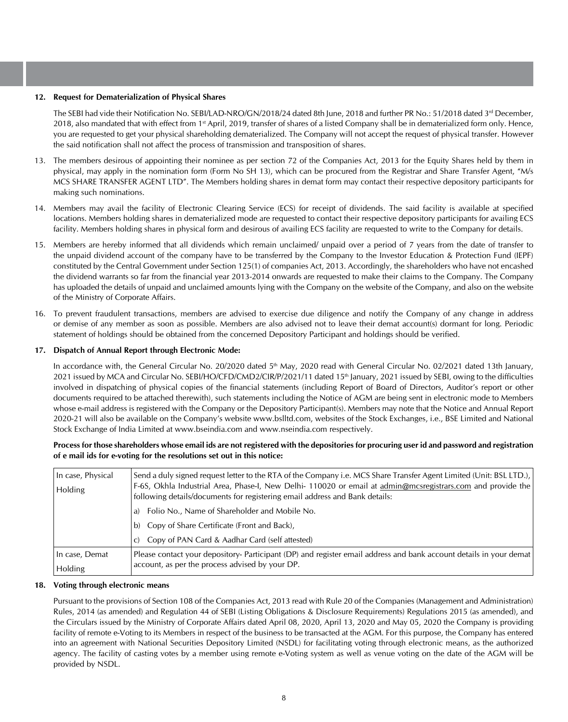#### **12. Request for Dematerialization of Physical Shares**

The SEBI had vide their Notification No. SEBI/LAD-NRO/GN/2018/24 dated 8th June, 2018 and further PR No.: 51/2018 dated 3<sup>rd</sup> December, 2018, also mandated that with effect from 1<sup>st</sup> April, 2019, transfer of shares of a listed Company shall be in dematerialized form only. Hence, you are requested to get your physical shareholding dematerialized. The Company will not accept the request of physical transfer. However the said notification shall not affect the process of transmission and transposition of shares.

- 13. The members desirous of appointing their nominee as per section 72 of the Companies Act, 2013 for the Equity Shares held by them in physical, may apply in the nomination form (Form No SH 13), which can be procured from the Registrar and Share Transfer Agent, "M/s MCS SHARE TRANSFER AGENT LTD". The Members holding shares in demat form may contact their respective depository participants for making such nominations.
- 14. Members may avail the facility of Electronic Clearing Service (ECS) for receipt of dividends. The said facility is available at specified locations. Members holding shares in dematerialized mode are requested to contact their respective depository participants for availing ECS facility. Members holding shares in physical form and desirous of availing ECS facility are requested to write to the Company for details.
- 15. Members are hereby informed that all dividends which remain unclaimed/ unpaid over a period of 7 years from the date of transfer to the unpaid dividend account of the company have to be transferred by the Company to the Investor Education & Protection Fund (IEPF) constituted by the Central Government under Section 125(1) of companies Act, 2013. Accordingly, the shareholders who have not encashed the dividend warrants so far from the financial year 2013-2014 onwards are requested to make their claims to the Company. The Company has uploaded the details of unpaid and unclaimed amounts lying with the Company on the website of the Company, and also on the website of the Ministry of Corporate Affairs.
- 16. To prevent fraudulent transactions, members are advised to exercise due diligence and notify the Company of any change in address or demise of any member as soon as possible. Members are also advised not to leave their demat account(s) dormant for long. Periodic statement of holdings should be obtained from the concerned Depository Participant and holdings should be verified.

## **17. Dispatch of Annual Report through Electronic Mode:**

In accordance with, the General Circular No. 20/2020 dated 5<sup>th</sup> May, 2020 read with General Circular No. 02/2021 dated 13th January, 2021 issued by MCA and Circular No. SEBI/HO/CFD/CMD2/CIR/P/2021/11 dated 15th January, 2021 issued by SEBI, owing to the difficulties involved in dispatching of physical copies of the financial statements (including Report of Board of Directors, Auditor's report or other documents required to be attached therewith), such statements including the Notice of AGM are being sent in electronic mode to Members whose e-mail address is registered with the Company or the Depository Participant(s). Members may note that the Notice and Annual Report 2020-21 will also be available on the Company's website www.bslltd.com, websites of the Stock Exchanges, i.e., BSE Limited and National Stock Exchange of India Limited at www.bseindia.com and www.nseindia.com respectively.

## **Process for those shareholders whose email ids are not registered with the depositories for procuring user id and password and registration of e mail ids for e-voting for the resolutions set out in this notice:**

| In case, Physical<br><b>Holding</b> | Send a duly signed request letter to the RTA of the Company i.e. MCS Share Transfer Agent Limited (Unit: BSL LTD.),<br>[F-6S, Okhla Industrial Area, Phase-I, New Delhi-110020 or email at admin@mcsregistrars.com and provide the<br>following details/documents for registering email address and Bank details: |
|-------------------------------------|-------------------------------------------------------------------------------------------------------------------------------------------------------------------------------------------------------------------------------------------------------------------------------------------------------------------|
|                                     | Folio No., Name of Shareholder and Mobile No.<br>a)                                                                                                                                                                                                                                                               |
|                                     | b) Copy of Share Certificate (Front and Back),                                                                                                                                                                                                                                                                    |
|                                     | c) Copy of PAN Card & Aadhar Card (self attested)                                                                                                                                                                                                                                                                 |
| In case, Demat                      | Please contact your depository- Participant (DP) and register email address and bank account details in your demat                                                                                                                                                                                                |
| Holding                             | account, as per the process advised by your DP.                                                                                                                                                                                                                                                                   |

#### **18. Voting through electronic means**

Pursuant to the provisions of Section 108 of the Companies Act, 2013 read with Rule 20 of the Companies (Management and Administration) Rules, 2014 (as amended) and Regulation 44 of SEBI (Listing Obligations & Disclosure Requirements) Regulations 2015 (as amended), and the Circulars issued by the Ministry of Corporate Affairs dated April 08, 2020, April 13, 2020 and May 05, 2020 the Company is providing facility of remote e-Voting to its Members in respect of the business to be transacted at the AGM. For this purpose, the Company has entered into an agreement with National Securities Depository Limited (NSDL) for facilitating voting through electronic means, as the authorized agency. The facility of casting votes by a member using remote e-Voting system as well as venue voting on the date of the AGM will be provided by NSDL.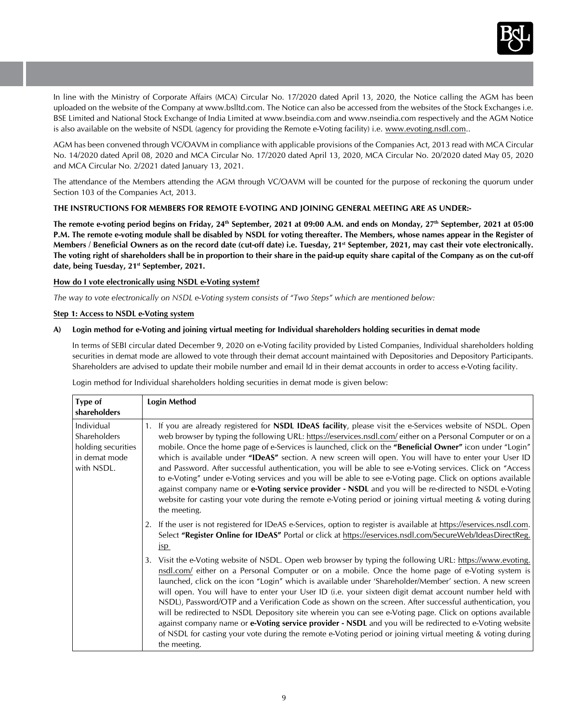

In line with the Ministry of Corporate Affairs (MCA) Circular No. 17/2020 dated April 13, 2020, the Notice calling the AGM has been uploaded on the website of the Company at www.bslltd.com. The Notice can also be accessed from the websites of the Stock Exchanges i.e. BSE Limited and National Stock Exchange of India Limited at www.bseindia.com and www.nseindia.com respectively and the AGM Notice is also available on the website of NSDL (agency for providing the Remote e-Voting facility) i.e. www.evoting.nsdl.com..

AGM has been convened through VC/OAVM in compliance with applicable provisions of the Companies Act, 2013 read with MCA Circular No. 14/2020 dated April 08, 2020 and MCA Circular No. 17/2020 dated April 13, 2020, MCA Circular No. 20/2020 dated May 05, 2020 and MCA Circular No. 2/2021 dated January 13, 2021.

The attendance of the Members attending the AGM through VC/OAVM will be counted for the purpose of reckoning the quorum under Section 103 of the Companies Act, 2013.

## **THE INSTRUCTIONS FOR MEMBERS FOR REMOTE E-VOTING AND JOINING GENERAL MEETING ARE AS UNDER:-**

The remote e-voting period begins on Friday, 24<sup>th</sup> September, 2021 at 09:00 A.M. and ends on Monday, 27<sup>th</sup> September, 2021 at 05:00 **P.M. The remote e-voting module shall be disabled by NSDL for voting thereafter. The Members, whose names appear in the Register of Members / Beneficial Owners as on the record date (cut-off date) i.e. Tuesday, 21st September, 2021, may cast their vote electronically. The voting right of shareholders shall be in proportion to their share in the paid-up equity share capital of the Company as on the cut-off date, being Tuesday, 21st September, 2021.**

## **How do I vote electronically using NSDL e-Voting system?**

*The way to vote electronically on NSDL e-Voting system consists of "Two Steps" which are mentioned below:*

## **Step 1: Access to NSDL e-Voting system**

## **A) Login method for e-Voting and joining virtual meeting for Individual shareholders holding securities in demat mode**

In terms of SEBI circular dated December 9, 2020 on e-Voting facility provided by Listed Companies, Individual shareholders holding securities in demat mode are allowed to vote through their demat account maintained with Depositories and Depository Participants. Shareholders are advised to update their mobile number and email Id in their demat accounts in order to access e-Voting facility.

Login method for Individual shareholders holding securities in demat mode is given below:

| Type of<br>shareholders                                                         | <b>Login Method</b>                                                                                                                                                                                                                                                                                                                                                                                                                                                                                                                                                                                                                                                                                                                                                                                                                                                                                                        |
|---------------------------------------------------------------------------------|----------------------------------------------------------------------------------------------------------------------------------------------------------------------------------------------------------------------------------------------------------------------------------------------------------------------------------------------------------------------------------------------------------------------------------------------------------------------------------------------------------------------------------------------------------------------------------------------------------------------------------------------------------------------------------------------------------------------------------------------------------------------------------------------------------------------------------------------------------------------------------------------------------------------------|
| Individual<br>Shareholders<br>holding securities<br>in demat mode<br>with NSDL. | 1. If you are already registered for <b>NSDL IDeAS facility</b> , please visit the e-Services website of NSDL. Open<br>web browser by typing the following URL: https://eservices.nsdl.com/ either on a Personal Computer or on a<br>mobile. Once the home page of e-Services is launched, click on the "Beneficial Owner" icon under "Login"<br>which is available under "IDeAS" section. A new screen will open. You will have to enter your User ID<br>and Password. After successful authentication, you will be able to see e-Voting services. Click on "Access"<br>to e-Voting" under e-Voting services and you will be able to see e-Voting page. Click on options available<br>against company name or e-Voting service provider - NSDL and you will be re-directed to NSDL e-Voting<br>website for casting your vote during the remote e-Voting period or joining virtual meeting & voting during<br>the meeting. |
|                                                                                 | 2. If the user is not registered for IDeAS e-Services, option to register is available at https://eservices.nsdl.com.<br>Select "Register Online for IDeAS" Portal or click at https://eservices.nsdl.com/SecureWeb/IdeasDirectReg.<br>jsp                                                                                                                                                                                                                                                                                                                                                                                                                                                                                                                                                                                                                                                                                 |
|                                                                                 | Visit the e-Voting website of NSDL. Open web browser by typing the following URL: https://www.evoting.<br>3.<br>nsdl.com/ either on a Personal Computer or on a mobile. Once the home page of e-Voting system is<br>launched, click on the icon "Login" which is available under 'Shareholder/Member' section. A new screen<br>will open. You will have to enter your User ID (i.e. your sixteen digit demat account number held with<br>NSDL), Password/OTP and a Verification Code as shown on the screen. After successful authentication, you<br>will be redirected to NSDL Depository site wherein you can see e-Voting page. Click on options available<br>against company name or <b>e-Voting service provider - NSDL</b> and you will be redirected to e-Voting website<br>of NSDL for casting your vote during the remote e-Voting period or joining virtual meeting & voting during<br>the meeting.              |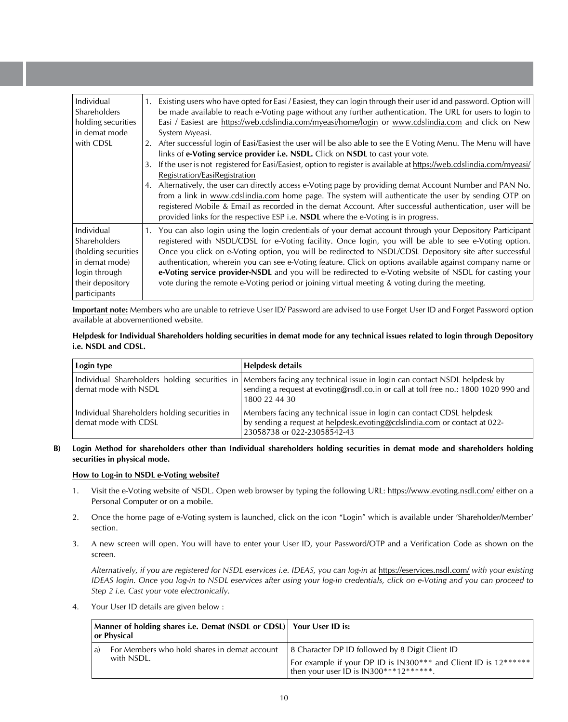| Individual<br>Shareholders<br>holding securities<br>in demat mode<br>with CDSL                                            | Existing users who have opted for Easi / Easiest, they can login through their user id and password. Option will<br>1.<br>be made available to reach e-Voting page without any further authentication. The URL for users to login to<br>Easi / Easiest are https://web.cdslindia.com/myeasi/home/login or www.cdslindia.com and click on New<br>System Myeasi.<br>After successful login of Easi/Easiest the user will be also able to see the E Voting Menu. The Menu will have<br>2.<br>links of e-Voting service provider i.e. NSDL. Click on NSDL to cast your vote.<br>If the user is not registered for Easi/Easiest, option to register is available at https://web.cdslindia.com/myeasi/<br>3.<br>Registration/EasiRegistration<br>4. Alternatively, the user can directly access e-Voting page by providing demat Account Number and PAN No.<br>from a link in www.cdslindia.com home page. The system will authenticate the user by sending OTP on<br>registered Mobile & Email as recorded in the demat Account. After successful authentication, user will be<br>provided links for the respective ESP i.e. NSDL where the e-Voting is in progress. |
|---------------------------------------------------------------------------------------------------------------------------|-----------------------------------------------------------------------------------------------------------------------------------------------------------------------------------------------------------------------------------------------------------------------------------------------------------------------------------------------------------------------------------------------------------------------------------------------------------------------------------------------------------------------------------------------------------------------------------------------------------------------------------------------------------------------------------------------------------------------------------------------------------------------------------------------------------------------------------------------------------------------------------------------------------------------------------------------------------------------------------------------------------------------------------------------------------------------------------------------------------------------------------------------------------------|
| Individual<br>Shareholders<br>(holding securities)<br>in demat mode)<br>login through<br>their depository<br>participants | You can also login using the login credentials of your demat account through your Depository Participant<br>registered with NSDL/CDSL for e-Voting facility. Once login, you will be able to see e-Voting option.<br>Once you click on e-Voting option, you will be redirected to NSDL/CDSL Depository site after successful<br>authentication, wherein you can see e-Voting feature. Click on options available against company name or<br>e-Voting service provider-NSDL and you will be redirected to e-Voting website of NSDL for casting your<br>vote during the remote e-Voting period or joining virtual meeting & voting during the meeting.                                                                                                                                                                                                                                                                                                                                                                                                                                                                                                            |

**Important note:** Members who are unable to retrieve User ID/ Password are advised to use Forget User ID and Forget Password option available at abovementioned website.

## **Helpdesk for Individual Shareholders holding securities in demat mode for any technical issues related to login through Depository i.e. NSDL and CDSL.**

| Login type                                                            | Helpdesk details                                                                                                                                                                                                               |
|-----------------------------------------------------------------------|--------------------------------------------------------------------------------------------------------------------------------------------------------------------------------------------------------------------------------|
| demat mode with NSDL                                                  | Individual Shareholders holding securities in Members facing any technical issue in login can contact NSDL helpdesk by<br>sending a request at evoting@nsdl.co.in or call at toll free no.: 1800 1020 990 and<br>1800 22 44 30 |
| Individual Shareholders holding securities in<br>demat mode with CDSL | Members facing any technical issue in login can contact CDSL helpdesk<br>by sending a request at helpdesk.evoting@cdslindia.com or contact at 022-<br>23058738 or 022-23058542-43                                              |

## **B) Login Method for shareholders other than Individual shareholders holding securities in demat mode and shareholders holding securities in physical mode.**

## **How to Log-in to NSDL e-Voting website?**

- 1. Visit the e-Voting website of NSDL. Open web browser by typing the following URL: https://www.evoting.nsdl.com/ either on a Personal Computer or on a mobile.
- 2. Once the home page of e-Voting system is launched, click on the icon "Login" which is available under 'Shareholder/Member' section.
- 3. A new screen will open. You will have to enter your User ID, your Password/OTP and a Verification Code as shown on the screen.

*Alternatively, if you are registered for NSDL eservices i.e. IDEAS, you can log-in at* https://eservices.nsdl.com/ *with your existing IDEAS login. Once you log-in to NSDL eservices after using your log-in credentials, click on e-Voting and you can proceed to Step 2 i.e. Cast your vote electronically.*

4. Your User ID details are given below :

| Manner of holding shares i.e. Demat (NSDL or CDSL) Your User ID is:<br>  or Physical_ |                                                                  |                                                                                                                                                                    |  |
|---------------------------------------------------------------------------------------|------------------------------------------------------------------|--------------------------------------------------------------------------------------------------------------------------------------------------------------------|--|
|                                                                                       | For Members who hold shares in demat account<br>a)<br>with NSDL. | 8 Character DP ID followed by 8 Digit Client ID<br>  For example if your DP ID is IN300*** and Client ID is 12******  <br>I then your user ID is IN300***12******. |  |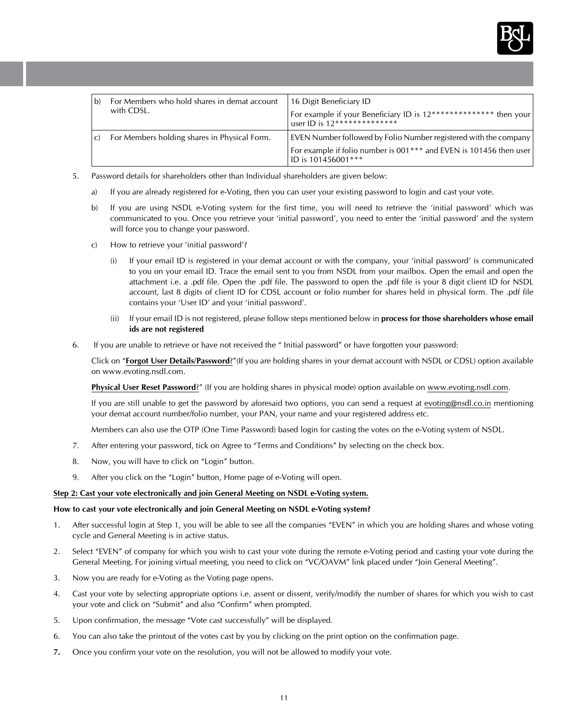

| b)            | For Members who hold shares in demat account<br>with CDSL. | 16 Digit Beneficiary ID<br>For example if your Beneficiary ID is 12************** then your<br>user ID is $12***************$                                |
|---------------|------------------------------------------------------------|--------------------------------------------------------------------------------------------------------------------------------------------------------------|
| $\mathcal{C}$ | For Members holding shares in Physical Form.               | EVEN Number followed by Folio Number registered with the company<br>For example if folio number is 001*** and EVEN is 101456 then user<br>ID is 101456001*** |

- 5. Password details for shareholders other than Individual shareholders are given below:
	- a) If you are already registered for e-Voting, then you can user your existing password to login and cast your vote.
	- b) If you are using NSDL e-Voting system for the first time, you will need to retrieve the 'initial password' which was communicated to you. Once you retrieve your 'initial password', you need to enter the 'initial password' and the system will force you to change your password.
	- c) How to retrieve your 'initial password'?
		- (i) If your email ID is registered in your demat account or with the company, your 'initial password' is communicated to you on your email ID. Trace the email sent to you from NSDL from your mailbox. Open the email and open the attachment i.e. a .pdf file. Open the .pdf file. The password to open the .pdf file is your 8 digit client ID for NSDL account, last 8 digits of client ID for CDSL account or folio number for shares held in physical form. The .pdf file contains your 'User ID' and your 'initial password'.
		- (ii) If your email ID is not registered, please follow steps mentioned below in **process for those shareholders whose email ids are not registered**
- 6. If you are unable to retrieve or have not received the " Initial password" or have forgotten your password:

Click on "**Forgot User Details/Password**?"(If you are holding shares in your demat account with NSDL or CDSL) option available on www.evoting.nsdl.com.

**Physical User Reset Password**?" (If you are holding shares in physical mode) option available on www.evoting.nsdl.com.

If you are still unable to get the password by aforesaid two options, you can send a request at evoting@nsdl.co.in mentioning your demat account number/folio number, your PAN, your name and your registered address etc.

Members can also use the OTP (One Time Password) based login for casting the votes on the e-Voting system of NSDL.

- 7. After entering your password, tick on Agree to "Terms and Conditions" by selecting on the check box.
- 8. Now, you will have to click on "Login" button.
- 9. After you click on the "Login" button, Home page of e-Voting will open.

## **Step 2: Cast your vote electronically and join General Meeting on NSDL e-Voting system.**

### **How to cast your vote electronically and join General Meeting on NSDL e-Voting system?**

- 1. After successful login at Step 1, you will be able to see all the companies "EVEN" in which you are holding shares and whose voting cycle and General Meeting is in active status.
- 2. Select "EVEN" of company for which you wish to cast your vote during the remote e-Voting period and casting your vote during the General Meeting. For joining virtual meeting, you need to click on "VC/OAVM" link placed under "Join General Meeting".
- 3. Now you are ready for e-Voting as the Voting page opens.
- 4. Cast your vote by selecting appropriate options i.e. assent or dissent, verify/modify the number of shares for which you wish to cast your vote and click on "Submit" and also "Confirm" when prompted.
- 5. Upon confirmation, the message "Vote cast successfully" will be displayed.
- 6. You can also take the printout of the votes cast by you by clicking on the print option on the confirmation page.
- **7.** Once you confirm your vote on the resolution, you will not be allowed to modify your vote.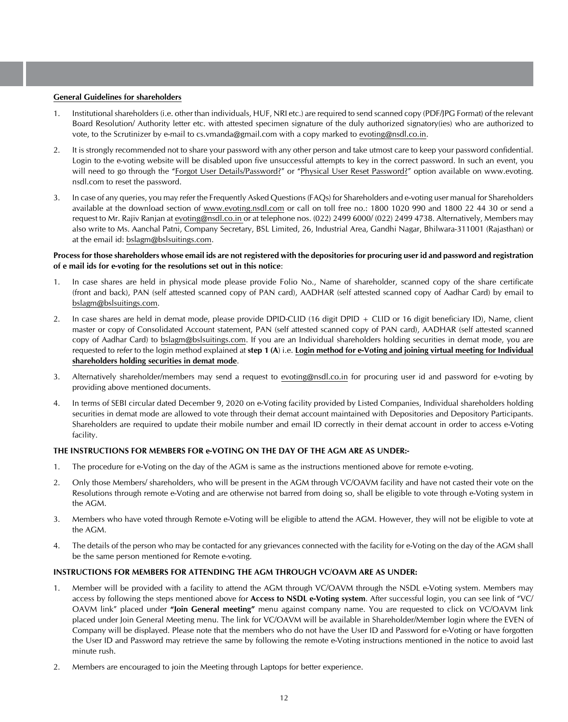#### **General Guidelines for shareholders**

- 1. Institutional shareholders (i.e. other than individuals, HUF, NRI etc.) are required to send scanned copy (PDF/JPG Format) of the relevant Board Resolution/ Authority letter etc. with attested specimen signature of the duly authorized signatory(ies) who are authorized to vote, to the Scrutinizer by e-mail to cs.vmanda@gmail.com with a copy marked to evoting@nsdl.co.in.
- 2. It is strongly recommended not to share your password with any other person and take utmost care to keep your password confidential. Login to the e-voting website will be disabled upon five unsuccessful attempts to key in the correct password. In such an event, you will need to go through the "Forgot User Details/Password?" or "Physical User Reset Password?" option available on www.evoting. nsdl.com to reset the password.
- 3. In case of any queries, you may refer the Frequently Asked Questions (FAQs) for Shareholders and e-voting user manual for Shareholders available at the download section of www.evoting.nsdl.com or call on toll free no.: 1800 1020 990 and 1800 22 44 30 or send a request to Mr. Rajiv Ranjan at evoting@nsdl.co.in or at telephone nos. (022) 2499 6000/ (022) 2499 4738. Alternatively, Members may also write to Ms. Aanchal Patni, Company Secretary, BSL Limited, 26, Industrial Area, Gandhi Nagar, Bhilwara-311001 (Rajasthan) or at the email id: bslagm@bslsuitings.com.

#### **Process for those shareholders whose email ids are not registered with the depositories for procuring user id and password and registration of e mail ids for e-voting for the resolutions set out in this notice**:

- 1. In case shares are held in physical mode please provide Folio No., Name of shareholder, scanned copy of the share certificate (front and back), PAN (self attested scanned copy of PAN card), AADHAR (self attested scanned copy of Aadhar Card) by email to bslagm@bslsuitings.com.
- 2. In case shares are held in demat mode, please provide DPID-CLID (16 digit DPID + CLID or 16 digit beneficiary ID), Name, client master or copy of Consolidated Account statement, PAN (self attested scanned copy of PAN card), AADHAR (self attested scanned copy of Aadhar Card) to bslagm@bslsuitings.com. If you are an Individual shareholders holding securities in demat mode, you are requested to refer to the login method explained at **step 1 (A**) i.e. **Login method for e-Voting and joining virtual meeting for Individual shareholders holding securities in demat mode**.
- 3. Alternatively shareholder/members may send a request to evoting@nsdl.co.in for procuring user id and password for e-voting by providing above mentioned documents.
- 4. In terms of SEBI circular dated December 9, 2020 on e-Voting facility provided by Listed Companies, Individual shareholders holding securities in demat mode are allowed to vote through their demat account maintained with Depositories and Depository Participants. Shareholders are required to update their mobile number and email ID correctly in their demat account in order to access e-Voting facility.

## **THE INSTRUCTIONS FOR MEMBERS FOR e-VOTING ON THE DAY OF THE AGM ARE AS UNDER:-**

- 1. The procedure for e-Voting on the day of the AGM is same as the instructions mentioned above for remote e-voting.
- 2. Only those Members/ shareholders, who will be present in the AGM through VC/OAVM facility and have not casted their vote on the Resolutions through remote e-Voting and are otherwise not barred from doing so, shall be eligible to vote through e-Voting system in the AGM.
- 3. Members who have voted through Remote e-Voting will be eligible to attend the AGM. However, they will not be eligible to vote at the AGM.
- 4. The details of the person who may be contacted for any grievances connected with the facility for e-Voting on the day of the AGM shall be the same person mentioned for Remote e-voting.

## **INSTRUCTIONS FOR MEMBERS FOR ATTENDING THE AGM THROUGH VC/OAVM ARE AS UNDER:**

- 1. Member will be provided with a facility to attend the AGM through VC/OAVM through the NSDL e-Voting system. Members may access by following the steps mentioned above for **Access to NSDL e-Voting system**. After successful login, you can see link of "VC/ OAVM link" placed under **"Join General meeting"** menu against company name. You are requested to click on VC/OAVM link placed under Join General Meeting menu. The link for VC/OAVM will be available in Shareholder/Member login where the EVEN of Company will be displayed. Please note that the members who do not have the User ID and Password for e-Voting or have forgotten the User ID and Password may retrieve the same by following the remote e-Voting instructions mentioned in the notice to avoid last minute rush.
- 2. Members are encouraged to join the Meeting through Laptops for better experience.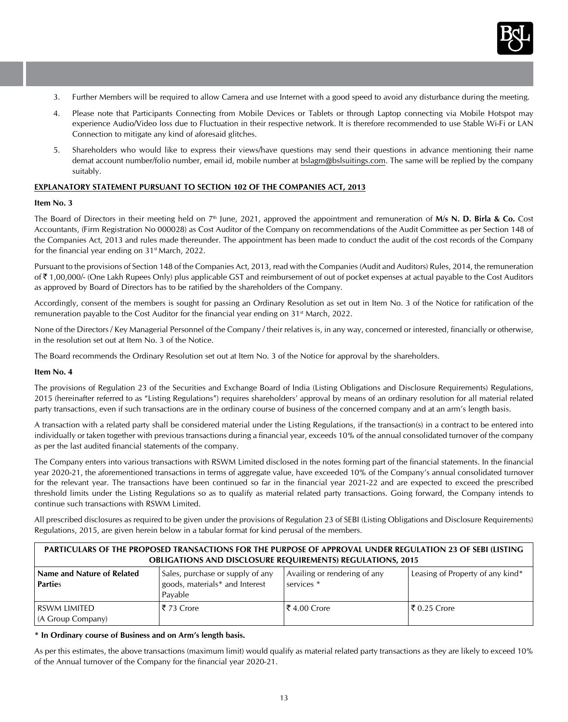

- 3. Further Members will be required to allow Camera and use Internet with a good speed to avoid any disturbance during the meeting.
- 4. Please note that Participants Connecting from Mobile Devices or Tablets or through Laptop connecting via Mobile Hotspot may experience Audio/Video loss due to Fluctuation in their respective network. It is therefore recommended to use Stable Wi-Fi or LAN Connection to mitigate any kind of aforesaid glitches.
- 5. Shareholders who would like to express their views/have questions may send their questions in advance mentioning their name demat account number/folio number, email id, mobile number at bslagm@bslsuitings.com. The same will be replied by the company suitably.

## **EXPLANATORY STATEMENT PURSUANT TO SECTION 102 OF THE COMPANIES ACT, 2013**

#### **Item No. 3**

The Board of Directors in their meeting held on 7<sup>th</sup> June, 2021, approved the appointment and remuneration of M/s N. D. Birla & Co. Cost Accountants, (Firm Registration No 000028) as Cost Auditor of the Company on recommendations of the Audit Committee as per Section 148 of the Companies Act, 2013 and rules made thereunder. The appointment has been made to conduct the audit of the cost records of the Company for the financial year ending on 31<sup>st</sup> March, 2022.

Pursuant to the provisions of Section 148 of the Companies Act, 2013, read with the Companies (Audit and Auditors) Rules, 2014, the remuneration of ` 1,00,000/- (One Lakh Rupees Only) plus applicable GST and reimbursement of out of pocket expenses at actual payable to the Cost Auditors as approved by Board of Directors has to be ratified by the shareholders of the Company.

Accordingly, consent of the members is sought for passing an Ordinary Resolution as set out in Item No. 3 of the Notice for ratification of the remuneration payable to the Cost Auditor for the financial year ending on 31<sup>st</sup> March, 2022.

None of the Directors / Key Managerial Personnel of the Company / their relatives is, in any way, concerned or interested, financially or otherwise, in the resolution set out at Item No. 3 of the Notice.

The Board recommends the Ordinary Resolution set out at Item No. 3 of the Notice for approval by the shareholders.

#### **Item No. 4**

The provisions of Regulation 23 of the Securities and Exchange Board of India (Listing Obligations and Disclosure Requirements) Regulations, 2015 (hereinafter referred to as "Listing Regulations") requires shareholders' approval by means of an ordinary resolution for all material related party transactions, even if such transactions are in the ordinary course of business of the concerned company and at an arm's length basis.

A transaction with a related party shall be considered material under the Listing Regulations, if the transaction(s) in a contract to be entered into individually or taken together with previous transactions during a financial year, exceeds 10% of the annual consolidated turnover of the company as per the last audited financial statements of the company.

The Company enters into various transactions with RSWM Limited disclosed in the notes forming part of the financial statements. In the financial year 2020-21, the aforementioned transactions in terms of aggregate value, have exceeded 10% of the Company's annual consolidated turnover for the relevant year. The transactions have been continued so far in the financial year 2021-22 and are expected to exceed the prescribed threshold limits under the Listing Regulations so as to qualify as material related party transactions. Going forward, the Company intends to continue such transactions with RSWM Limited.

All prescribed disclosures as required to be given under the provisions of Regulation 23 of SEBI (Listing Obligations and Disclosure Requirements) Regulations, 2015, are given herein below in a tabular format for kind perusal of the members.

| PARTICULARS OF THE PROPOSED TRANSACTIONS FOR THE PURPOSE OF APPROVAL UNDER REGULATION 23 OF SEBI (LISTING<br><b>OBLIGATIONS AND DISCLOSURE REQUIREMENTS) REGULATIONS, 2015</b> |           |                                                       |                                  |  |
|--------------------------------------------------------------------------------------------------------------------------------------------------------------------------------|-----------|-------------------------------------------------------|----------------------------------|--|
| Name and Nature of Related<br>Sales, purchase or supply of any<br>goods, materials* and Interest<br><b>Parties</b><br>Pavable                                                  |           | Availing or rendering of any<br>services <sup>*</sup> | Leasing of Property of any kind* |  |
| i rswm limited<br>(A Group Company)                                                                                                                                            | ₹73 Crore | ।₹ 4.00 Crore                                         | $\vert$ ₹ 0.25 Crore             |  |

#### **\* In Ordinary course of Business and on Arm's length basis.**

As per this estimates, the above transactions (maximum limit) would qualify as material related party transactions as they are likely to exceed 10% of the Annual turnover of the Company for the financial year 2020-21.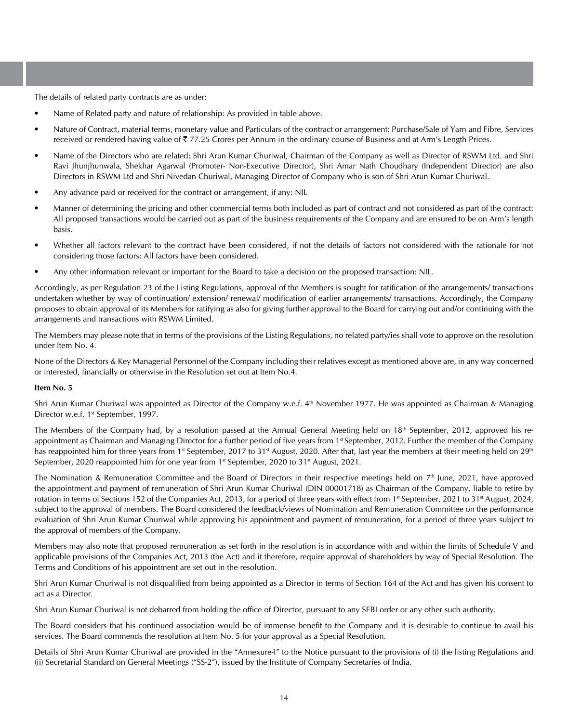The details of related party contracts are as under:

- Name of Related party and nature of relationship: As provided in table above.
- Nature of Contract, material terms, monetary value and Particulars of the contract or arrangement: Purchase/Sale of Yarn and Fibre, Services received or rendered having value of  $\overline{\xi}$  77.25 Crores per Annum in the ordinary course of Business and at Arm's Length Prices.
- Name of the Directors who are related: Shri Arun Kumar Churiwal, Chairman of the Company as well as Director of RSWM Ltd. and Shri Ravi Jhunjhunwala, Shekhar Agarwal (Promoter- Non-Executive Director), Shri Amar Nath Choudhary (Independent Director) are also Directors in RSWM Ltd and Shri Nivedan Churiwal, Managing Director of Company who is son of Shri Arun Kumar Churiwal.
- Any advance paid or received for the contract or arrangement, if any: NIL
- Manner of determining the pricing and other commercial terms both included as part of contract and not considered as part of the contract: All proposed transactions would be carried out as part of the business requirements of the Company and are ensured to be on Arm's length basis.
- Whether all factors relevant to the contract have been considered, if not the details of factors not considered with the rationale for not considering those factors: All factors have been considered.
- Any other information relevant or important for the Board to take a decision on the proposed transaction: NIL.

Accordingly, as per Regulation 23 of the Listing Regulations, approval of the Members is sought for ratification of the arrangements/ transactions undertaken whether by way of continuation/ extension/ renewal/ modification of earlier arrangements/ transactions. Accordingly, the Company proposes to obtain approval of its Members for ratifying as also for giving further approval to the Board for carrying out and/or continuing with the arrangements and transactions with RSWM Limited.

The Members may please note that in terms of the provisions of the Listing Regulations, no related party/ies shall vote to approve on the resolution under Item No. 4.

None of the Directors & Key Managerial Personnel of the Company including their relatives except as mentioned above are, in any way concerned or interested, financially or otherwise in the Resolution set out at Item No.4.

#### **Item No. 5**

Shri Arun Kumar Churiwal was appointed as Director of the Company w.e.f.  $4<sup>th</sup>$  November 1977. He was appointed as Chairman & Managing Director w.e.f. 1st September, 1997.

The Members of the Company had, by a resolution passed at the Annual General Meeting held on 18<sup>th</sup> September, 2012, approved his reappointment as Chairman and Managing Director for a further period of five years from 1<sup>st</sup> September, 2012. Further the member of the Company has reappointed him for three years from 1<sup>st</sup> September, 2017 to 31<sup>st</sup> August, 2020. After that, last year the members at their meeting held on 29<sup>th</sup> September, 2020 reappointed him for one year from 1<sup>st</sup> September, 2020 to 31<sup>st</sup> August, 2021.

The Nomination & Remuneration Committee and the Board of Directors in their respective meetings held on  $7<sup>th</sup>$  June, 2021, have approved the appointment and payment of remuneration of Shri Arun Kumar Churiwal (DIN 00001718) as Chairman of the Company, liable to retire by rotation in terms of Sections 152 of the Companies Act, 2013, for a period of three years with effect from 1<sup>st</sup> September, 2021 to 31<sup>st</sup> August, 2024, subject to the approval of members. The Board considered the feedback/views of Nomination and Remuneration Committee on the performance evaluation of Shri Arun Kumar Churiwal while approving his appointment and payment of remuneration, for a period of three years subject to the approval of members of the Company.

Members may also note that proposed remuneration as set forth in the resolution is in accordance with and within the limits of Schedule V and applicable provisions of the Companies Act, 2013 (the Act) and it therefore, require approval of shareholders by way of Special Resolution. The Terms and Conditions of his appointment are set out in the resolution.

Shri Arun Kumar Churiwal is not disqualified from being appointed as a Director in terms of Section 164 of the Act and has given his consent to act as a Director.

Shri Arun Kumar Churiwal is not debarred from holding the office of Director, pursuant to any SEBI order or any other such authority.

The Board considers that his continued association would be of immense benefit to the Company and it is desirable to continue to avail his services. The Board commends the resolution at Item No. 5 for your approval as a Special Resolution.

Details of Shri Arun Kumar Churiwal are provided in the "Annexure-I" to the Notice pursuant to the provisions of (i) the listing Regulations and (ii) Secretarial Standard on General Meetings ("SS-2"), issued by the Institute of Company Secretaries of India.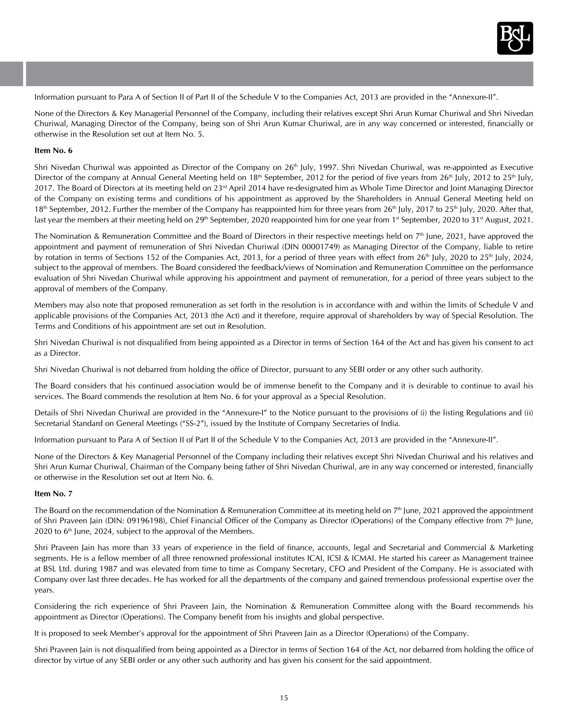

Information pursuant to Para A of Section II of Part II of the Schedule V to the Companies Act, 2013 are provided in the "Annexure-II".

None of the Directors & Key Managerial Personnel of the Company, including their relatives except Shri Arun Kumar Churiwal and Shri Nivedan Churiwal, Managing Director of the Company, being son of Shri Arun Kumar Churiwal, are in any way concerned or interested, financially or otherwise in the Resolution set out at Item No. 5.

#### **Item No. 6**

Shri Nivedan Churiwal was appointed as Director of the Company on 26<sup>th</sup> July, 1997. Shri Nivedan Churiwal, was re-appointed as Executive Director of the company at Annual General Meeting held on 18<sup>th</sup> September, 2012 for the period of five years from 26<sup>th</sup> July, 2012 to 25<sup>th</sup> July, 2017. The Board of Directors at its meeting held on 23<sup>rd</sup> April 2014 have re-designated him as Whole Time Director and Joint Managing Director of the Company on existing terms and conditions of his appointment as approved by the Shareholders in Annual General Meeting held on 18<sup>th</sup> September, 2012. Further the member of the Company has reappointed him for three years from 26<sup>th</sup> July, 2017 to 25<sup>th</sup> July, 2020. After that, last year the members at their meeting held on 29<sup>th</sup> September, 2020 reappointed him for one year from 1<sup>st</sup> September, 2020 to 31<sup>st</sup> August, 2021.

The Nomination & Remuneration Committee and the Board of Directors in their respective meetings held on  $7<sup>th</sup>$  June, 2021, have approved the appointment and payment of remuneration of Shri Nivedan Churiwal (DIN 00001749) as Managing Director of the Company, liable to retire by rotation in terms of Sections 152 of the Companies Act, 2013, for a period of three years with effect from  $26<sup>th</sup>$  July, 2020 to  $25<sup>th</sup>$  July, 2024, subject to the approval of members. The Board considered the feedback/views of Nomination and Remuneration Committee on the performance evaluation of Shri Nivedan Churiwal while approving his appointment and payment of remuneration, for a period of three years subject to the approval of members of the Company.

Members may also note that proposed remuneration as set forth in the resolution is in accordance with and within the limits of Schedule V and applicable provisions of the Companies Act, 2013 (the Act) and it therefore, require approval of shareholders by way of Special Resolution. The Terms and Conditions of his appointment are set out in Resolution.

Shri Nivedan Churiwal is not disqualified from being appointed as a Director in terms of Section 164 of the Act and has given his consent to act as a Director.

Shri Nivedan Churiwal is not debarred from holding the office of Director, pursuant to any SEBI order or any other such authority.

The Board considers that his continued association would be of immense benefit to the Company and it is desirable to continue to avail his services. The Board commends the resolution at Item No. 6 for your approval as a Special Resolution.

Details of Shri Nivedan Churiwal are provided in the "Annexure-I" to the Notice pursuant to the provisions of (i) the listing Regulations and (ii) Secretarial Standard on General Meetings ("SS-2"), issued by the Institute of Company Secretaries of India.

Information pursuant to Para A of Section II of Part II of the Schedule V to the Companies Act, 2013 are provided in the "Annexure-II".

None of the Directors & Key Managerial Personnel of the Company including their relatives except Shri Nivedan Churiwal and his relatives and Shri Arun Kumar Churiwal, Chairman of the Company being father of Shri Nivedan Churiwal, are in any way concerned or interested, financially or otherwise in the Resolution set out at Item No. 6.

#### **Item No. 7**

The Board on the recommendation of the Nomination & Remuneration Committee at its meeting held on  $7<sup>th</sup>$  June, 2021 approved the appointment of Shri Praveen Jain (DIN: 09196198), Chief Financial Officer of the Company as Director (Operations) of the Company effective from 7<sup>th</sup> June, 2020 to 6<sup>th</sup> June, 2024, subject to the approval of the Members.

Shri Praveen Jain has more than 33 years of experience in the field of finance, accounts, legal and Secretarial and Commercial & Marketing segments. He is a fellow member of all three renowned professional institutes ICAI, ICSI & ICMAI. He started his career as Management trainee at BSL Ltd. during 1987 and was elevated from time to time as Company Secretary, CFO and President of the Company. He is associated with Company over last three decades. He has worked for all the departments of the company and gained tremendous professional expertise over the years.

Considering the rich experience of Shri Praveen Jain, the Nomination & Remuneration Committee along with the Board recommends his appointment as Director (Operations). The Company benefit from his insights and global perspective.

It is proposed to seek Member's approval for the appointment of Shri Praveen Jain as a Director (Operations) of the Company.

Shri Praveen Jain is not disqualified from being appointed as a Director in terms of Section 164 of the Act, nor debarred from holding the office of director by virtue of any SEBI order or any other such authority and has given his consent for the said appointment.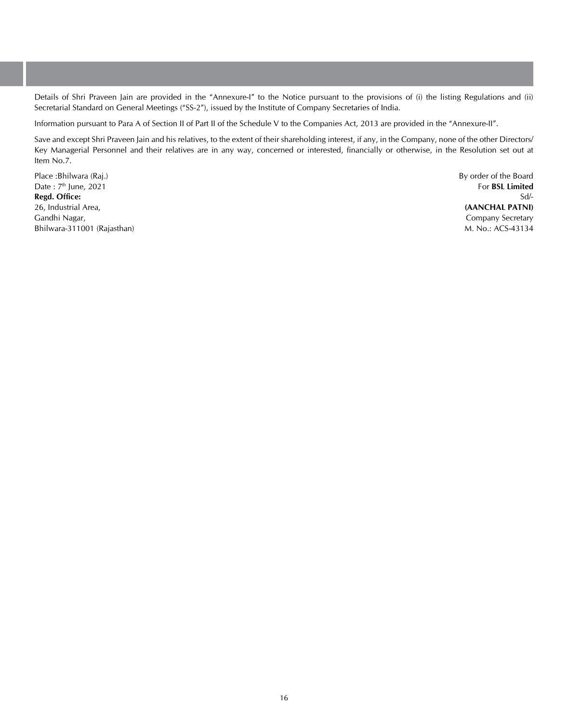Details of Shri Praveen Jain are provided in the "Annexure-I" to the Notice pursuant to the provisions of (i) the listing Regulations and (ii) Secretarial Standard on General Meetings ("SS-2"), issued by the Institute of Company Secretaries of India.

Information pursuant to Para A of Section II of Part II of the Schedule V to the Companies Act, 2013 are provided in the "Annexure-II".

Save and except Shri Praveen Jain and his relatives, to the extent of their shareholding interest, if any, in the Company, none of the other Directors/ Key Managerial Personnel and their relatives are in any way, concerned or interested, financially or otherwise, in the Resolution set out at Item No.7.

Place :Bhilwara (Raj.) Date: 7<sup>th</sup> June, 2021 **Regd. Office:** 26, Industrial Area, Gandhi Nagar, Bhilwara-311001 (Rajasthan) By order of the Board For **BSL Limited** Sd/- **(AANCHAL PATNI)** Company Secretary M. No.: ACS-43134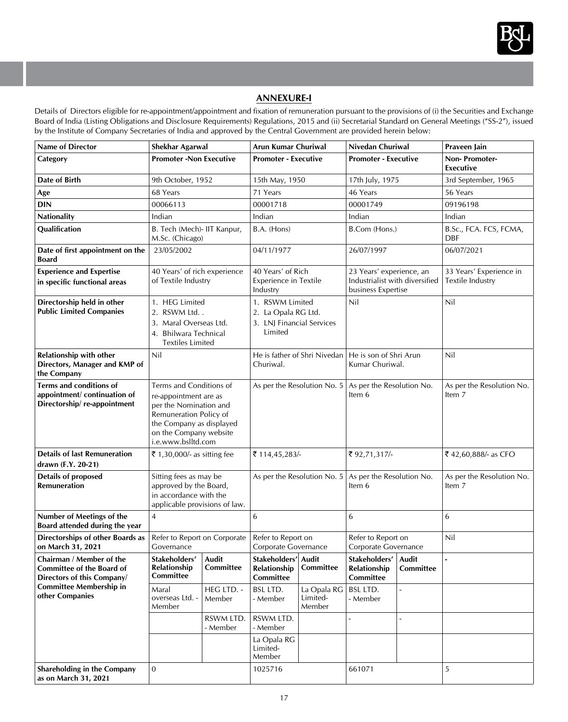

# **Annexure-I**

Details of Directors eligible for re-appointment/appointment and fixation of remuneration pursuant to the provisions of (i) the Securities and Exchange Board of India (Listing Obligations and Disclosure Requirements) Regulations, 2015 and (ii) Secretarial Standard on General Meetings ("SS-2"), issued by the Institute of Company Secretaries of India and approved by the Central Government are provided herein below:

| <b>Name of Director</b>                                                 | Shekhar Agarwal                                                              |                       |                                                                    | Nivedan Churiwal<br>Arun Kumar Churiwal |                                                                        |            | Praveen Jain                        |
|-------------------------------------------------------------------------|------------------------------------------------------------------------------|-----------------------|--------------------------------------------------------------------|-----------------------------------------|------------------------------------------------------------------------|------------|-------------------------------------|
| Category                                                                | <b>Promoter-Non Executive</b>                                                |                       | <b>Promoter - Executive</b>                                        |                                         | <b>Promoter - Executive</b>                                            |            | Non-Promoter-                       |
|                                                                         |                                                                              |                       |                                                                    |                                         |                                                                        |            | Executive                           |
| Date of Birth                                                           | 9th October, 1952                                                            |                       | 15th May, 1950                                                     |                                         | 17th July, 1975                                                        |            | 3rd September, 1965                 |
| Age                                                                     | 68 Years                                                                     |                       | 71 Years                                                           |                                         | 46 Years                                                               |            | 56 Years                            |
| <b>DIN</b>                                                              | 00066113                                                                     |                       | 00001718<br>00001749                                               |                                         |                                                                        | 09196198   |                                     |
| Nationality                                                             | Indian                                                                       |                       | Indian                                                             |                                         | Indian                                                                 |            | Indian                              |
| Qualification                                                           | B. Tech (Mech)- IIT Kanpur,<br>M.Sc. (Chicago)                               |                       | B.A. (Hons)                                                        |                                         | B.Com (Hons.)                                                          |            | B.Sc., FCA. FCS, FCMA,<br>DBF       |
| Date of first appointment on the<br><b>Board</b>                        | 23/05/2002                                                                   | 04/11/1977            |                                                                    | 26/07/1997                              |                                                                        | 06/07/2021 |                                     |
| <b>Experience and Expertise</b>                                         | 40 Years' of rich experience                                                 |                       | 40 Years' of Rich                                                  |                                         | 23 Years' experience, an                                               |            | 33 Years' Experience in             |
| in specific functional areas                                            | of Textile Industry                                                          |                       | Experience in Textile<br>Industry                                  |                                         | Industrialist with diversified<br>business Expertise                   |            | Textile Industry                    |
| Directorship held in other                                              | 1. HEG Limited                                                               |                       | 1. RSWM Limited                                                    |                                         | Nil                                                                    |            | Nil                                 |
| <b>Public Limited Companies</b>                                         | 2. RSWM Ltd. .                                                               |                       | 2. La Opala RG Ltd.                                                |                                         |                                                                        |            |                                     |
|                                                                         | 3. Maral Overseas Ltd.<br>4. Bhilwara Technical                              |                       | 3. LNJ Financial Services<br>Limited                               |                                         |                                                                        |            |                                     |
|                                                                         | <b>Textiles Limited</b>                                                      |                       |                                                                    |                                         |                                                                        |            |                                     |
| Relationship with other<br>Directors, Manager and KMP of<br>the Company | Nil                                                                          |                       | He is father of Shri Nivedan   He is son of Shri Arun<br>Churiwal. |                                         | Kumar Churiwal.                                                        |            | Nil                                 |
| Terms and conditions of                                                 | Terms and Conditions of                                                      |                       | As per the Resolution No. $5 \mid$ As per the Resolution No.       |                                         | Item 6                                                                 |            | As per the Resolution No.           |
| appointment/continuation of                                             | re-appointment are as                                                        |                       |                                                                    |                                         |                                                                        |            | Item 7                              |
| Directorship/re-appointment                                             | per the Nomination and                                                       |                       |                                                                    |                                         |                                                                        |            |                                     |
|                                                                         | Remuneration Policy of<br>the Company as displayed<br>on the Company website |                       |                                                                    |                                         |                                                                        |            |                                     |
|                                                                         |                                                                              |                       |                                                                    |                                         |                                                                        |            |                                     |
|                                                                         | i.e.www.bslltd.com                                                           |                       |                                                                    |                                         |                                                                        |            |                                     |
| <b>Details of last Remuneration</b>                                     | ₹ 1,30,000/- as sitting fee                                                  |                       | ₹114,45,283/-                                                      |                                         | ₹92,71,317/-                                                           |            | ₹42,60,888/- as CFO                 |
| drawn (F.Y. 20-21)                                                      |                                                                              |                       |                                                                    |                                         |                                                                        |            |                                     |
| Details of proposed                                                     | Sitting fees as may be                                                       |                       |                                                                    |                                         | As per the Resolution No. $5 \mid$ As per the Resolution No.<br>Item 6 |            | As per the Resolution No.<br>Item 7 |
| <b>Remuneration</b>                                                     | approved by the Board,<br>in accordance with the                             |                       |                                                                    |                                         |                                                                        |            |                                     |
|                                                                         | applicable provisions of law.                                                |                       |                                                                    |                                         |                                                                        |            |                                     |
| Number of Meetings of the<br>Board attended during the year             | $\overline{4}$                                                               |                       | 6                                                                  |                                         | 6                                                                      |            | 6                                   |
| Directorships of other Boards as<br>on March 31, 2021                   | Refer to Report on Corporate<br>Governance                                   |                       | Refer to Report on<br>Corporate Governance                         |                                         | Refer to Report on<br>Corporate Governance                             |            | Nil                                 |
| Chairman / Member of the                                                | Stakeholders'                                                                | Audit                 | Stakeholders' Audit                                                |                                         | Stakeholders'   Audit                                                  |            |                                     |
| Committee of the Board of                                               | Relationship                                                                 | Committee             | Relationship   Committee                                           |                                         | Relationship Committee                                                 |            |                                     |
| Directors of this Company/<br><b>Committee Membership in</b>            | Committee                                                                    |                       | Committee                                                          |                                         | Committee                                                              |            |                                     |
| other Companies                                                         | Maral<br>overseas Ltd. -<br>Member                                           | HEG LTD. -<br>Member  | <b>BSL LTD.</b><br>- Member                                        | La Opala RG<br>Limited-<br>Member       | <b>BSL LTD.</b><br>- Member                                            |            |                                     |
|                                                                         |                                                                              | RSWM LTD.<br>- Member | RSWM LTD.<br>- Member                                              |                                         |                                                                        |            |                                     |
|                                                                         |                                                                              |                       | La Opala RG                                                        |                                         |                                                                        |            |                                     |
|                                                                         |                                                                              |                       | Limited-                                                           |                                         |                                                                        |            |                                     |
|                                                                         |                                                                              |                       | Member                                                             |                                         |                                                                        |            |                                     |
| Shareholding in the Company<br>as on March 31, 2021                     | $\mathbf{0}$                                                                 |                       | 1025716                                                            |                                         | 661071                                                                 |            | 5                                   |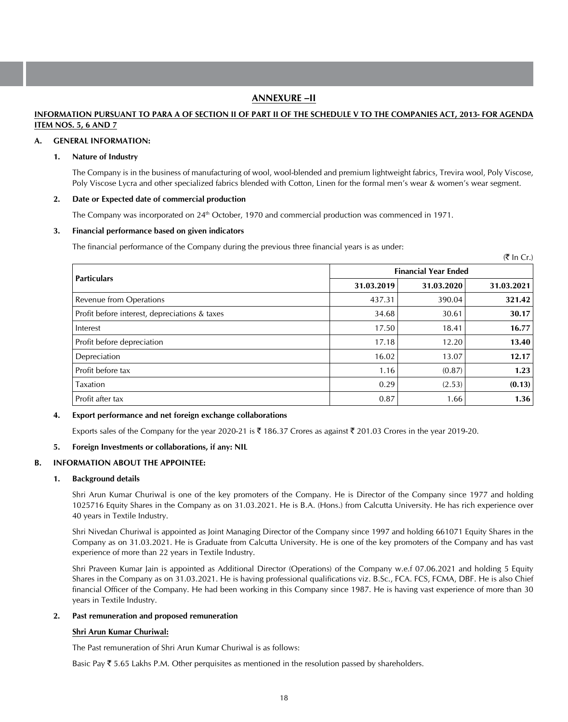# **ANNEXURE –II**

## **INFORMATION PURSUANT TO PARA A OF SECTION II OF PART II OF THE SCHEDULE V TO THE COMPANIES ACT, 2013- FOR AGENDA ITEM NOS. 5, 6 AND 7**

#### **A. GENERAL INFORMATION:**

#### **1. Nature of Industry**

The Company is in the business of manufacturing of wool, wool-blended and premium lightweight fabrics, Trevira wool, Poly Viscose, Poly Viscose Lycra and other specialized fabrics blended with Cotton, Linen for the formal men's wear & women's wear segment.

 $(\bar{\bar{\tau}}$  In  $Cr$ )

## **2. Date or Expected date of commercial production**

The Company was incorporated on 24<sup>th</sup> October, 1970 and commercial production was commenced in 1971.

#### **3. Financial performance based on given indicators**

 The financial performance of the Company during the previous three financial years is as under:

|                                               | <b>Financial Year Ended</b> |            |            |  |  |  |
|-----------------------------------------------|-----------------------------|------------|------------|--|--|--|
| <b>Particulars</b>                            | 31.03.2019                  | 31.03.2020 | 31.03.2021 |  |  |  |
| Revenue from Operations                       | 437.31                      | 390.04     | 321.42     |  |  |  |
| Profit before interest, depreciations & taxes | 34.68                       | 30.61      | 30.17      |  |  |  |
| Interest                                      | 17.50                       | 18.41      | 16.77      |  |  |  |
| Profit before depreciation                    | 17.18                       | 12.20      | 13.40      |  |  |  |
| Depreciation                                  | 16.02                       | 13.07      | 12.17      |  |  |  |
| Profit before tax                             | 1.16                        | (0.87)     | 1.23       |  |  |  |
| <b>Taxation</b>                               | 0.29                        | (2.53)     | (0.13)     |  |  |  |
| Profit after tax                              | 0.87                        | 1.66       | 1.36       |  |  |  |

## **4. Export performance and net foreign exchange collaborations**

Exports sales of the Company for the year 2020-21 is  $\bar{\tau}$  186.37 Crores as against  $\bar{\tau}$  201.03 Crores in the year 2019-20.

## **5. Foreign Investments or collaborations, if any: NIL**

## **B. INFORMATION ABOUT THE APPOINTEE:**

#### **1. Background details**

Shri Arun Kumar Churiwal is one of the key promoters of the Company. He is Director of the Company since 1977 and holding 1025716 Equity Shares in the Company as on 31.03.2021. He is B.A. (Hons.) from Calcutta University. He has rich experience over 40 years in Textile Industry.

Shri Nivedan Churiwal is appointed as Joint Managing Director of the Company since 1997 and holding 661071 Equity Shares in the Company as on 31.03.2021. He is Graduate from Calcutta University. He is one of the key promoters of the Company and has vast experience of more than 22 years in Textile Industry.

Shri Praveen Kumar Jain is appointed as Additional Director (Operations) of the Company w.e.f 07.06.2021 and holding 5 Equity Shares in the Company as on 31.03.2021. He is having professional qualifications viz. B.Sc., FCA. FCS, FCMA, DBF. He is also Chief financial Officer of the Company. He had been working in this Company since 1987. He is having vast experience of more than 30 years in Textile Industry.

#### **2. Past remuneration and proposed remuneration**

## **Shri Arun Kumar Churiwal:**

The Past remuneration of Shri Arun Kumar Churiwal is as follows:

Basic Pay  $\bar{\tau}$  5.65 Lakhs P.M. Other perquisites as mentioned in the resolution passed by shareholders.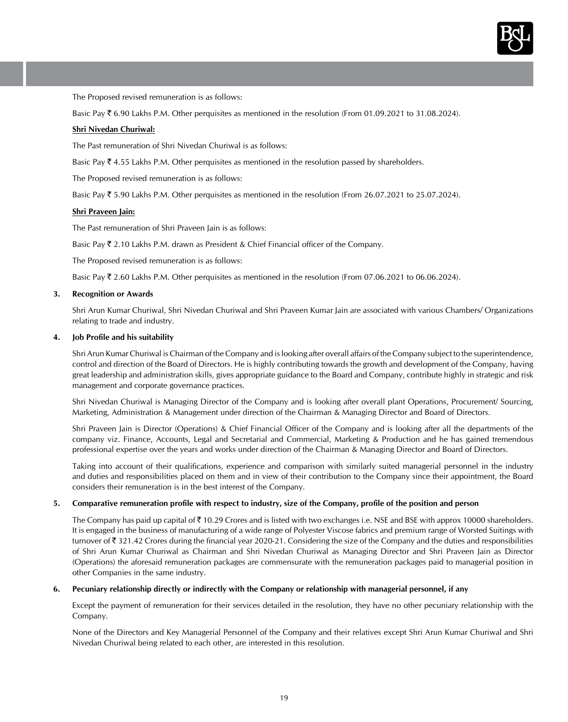

The Proposed revised remuneration is as follows:

Basic Pay  $\bar{\tau}$  6.90 Lakhs P.M. Other perquisites as mentioned in the resolution (From 01.09.2021 to 31.08.2024).

#### **Shri Nivedan Churiwal:**

The Past remuneration of Shri Nivedan Churiwal is as follows:

Basic Pay  $\bar{\tau}$  4.55 Lakhs P.M. Other perquisites as mentioned in the resolution passed by shareholders.

The Proposed revised remuneration is as follows:

Basic Pay  $\bar{\tau}$  5.90 Lakhs P.M. Other perquisites as mentioned in the resolution (From 26.07.2021 to 25.07.2024).

#### **Shri Praveen Jain:**

The Past remuneration of Shri Praveen Jain is as follows:

Basic Pay  $\bar{\tau}$  2.10 Lakhs P.M. drawn as President & Chief Financial officer of the Company.

The Proposed revised remuneration is as follows:

Basic Pay  $\bar{\tau}$  2.60 Lakhs P.M. Other perquisites as mentioned in the resolution (From 07.06.2021 to 06.06.2024).

## **3. Recognition or Awards**

Shri Arun Kumar Churiwal, Shri Nivedan Churiwal and Shri Praveen Kumar Jain are associated with various Chambers/ Organizations relating to trade and industry.

#### **4. Job Profile and his suitability**

Shri Arun Kumar Churiwal is Chairman of the Company and is looking after overall affairs of the Company subject to the superintendence, control and direction of the Board of Directors. He is highly contributing towards the growth and development of the Company, having great leadership and administration skills, gives appropriate guidance to the Board and Company, contribute highly in strategic and risk management and corporate governance practices.

Shri Nivedan Churiwal is Managing Director of the Company and is looking after overall plant Operations, Procurement/ Sourcing, Marketing, Administration & Management under direction of the Chairman & Managing Director and Board of Directors.

 Shri Praveen Jain is Director (Operations) & Chief Financial Officer of the Company and is looking after all the departments of the company viz. Finance, Accounts, Legal and Secretarial and Commercial, Marketing & Production and he has gained tremendous professional expertise over the years and works under direction of the Chairman & Managing Director and Board of Directors.

 Taking into account of their qualifications, experience and comparison with similarly suited managerial personnel in the industry and duties and responsibilities placed on them and in view of their contribution to the Company since their appointment, the Board considers their remuneration is in the best interest of the Company.

#### **5. Comparative remuneration profile with respect to industry, size of the Company, profile of the position and person**

The Company has paid up capital of  $\bar{\tau}$  10.29 Crores and is listed with two exchanges i.e. NSE and BSE with approx 10000 shareholders. It is engaged in the business of manufacturing of a wide range of Polyester Viscose fabrics and premium range of Worsted Suitings with turnover of  $\bar{\tau}$  321.42 Crores during the financial year 2020-21. Considering the size of the Company and the duties and responsibilities of Shri Arun Kumar Churiwal as Chairman and Shri Nivedan Churiwal as Managing Director and Shri Praveen Jain as Director (Operations) the aforesaid remuneration packages are commensurate with the remuneration packages paid to managerial position in other Companies in the same industry.

#### **6. Pecuniary relationship directly or indirectly with the Company or relationship with managerial personnel, if any**

Except the payment of remuneration for their services detailed in the resolution, they have no other pecuniary relationship with the Company.

None of the Directors and Key Managerial Personnel of the Company and their relatives except Shri Arun Kumar Churiwal and Shri Nivedan Churiwal being related to each other, are interested in this resolution.